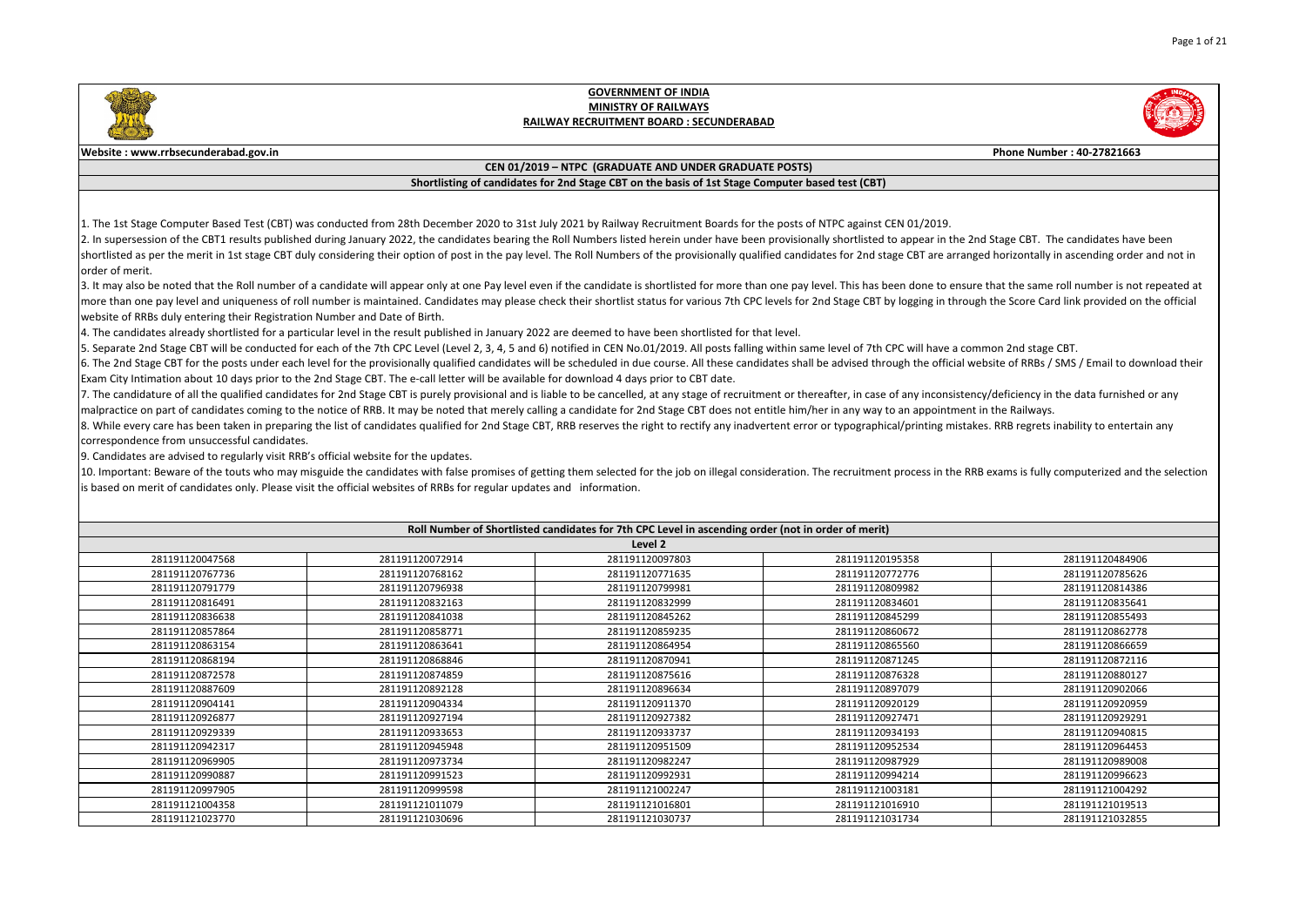

3. It may also be noted that the Roll number of a candidate will appear only at one Pay level even if the candidate is shortlisted for more than one pay level. This has been done to ensure that the same roll number is not more than one pay level and uniqueness of roll number is maintained. Candidates may please check their shortlist status for various 7th CPC levels for 2nd Stage CBT by logging in through the Score Card link provided on the website of RRBs duly entering their Registration Number and Date of Birth.

1. The 1st Stage Computer Based Test (CBT) was conducted from 28th December 2020 to 31st July 2021 by Railway Recruitment Boards for the posts of NTPC against CEN 01/2019. 2. In supersession of the CBT1 results published during January 2022, the candidates bearing the Roll Numbers listed herein under have been provisionally shortlisted to appear in the 2nd Stage CBT. The candidates have been shortlisted as per the merit in 1st stage CBT duly considering their option of post in the pay level. The Roll Numbers of the provisionally qualified candidates for 2nd stage CBT are arranged horizontally in ascending orde order of merit.

7. The candidature of all the qualified candidates for 2nd Stage CBT is purely provisional and is liable to be cancelled, at any stage of recruitment or thereafter, in case of any inconsistency/deficiency in the data furni malpractice on part of candidates coming to the notice of RRB. It may be noted that merely calling a candidate for 2nd Stage CBT does not entitle him/her in any way to an appointment in the Railways. 8. While every care has been taken in preparing the list of candidates qualified for 2nd Stage CBT, RRB reserves the right to rectify any inadvertent error or typographical/printing mistakes. RRB regrets inability to enter correspondence from unsuccessful candidates.

10. Important: Beware of the touts who may misguide the candidates with false promises of getting them selected for the job on illegal consideration. The recruitment process in the RRB exams is fully computerized and the s is based on merit of candidates only. Please visit the official websites of RRBs for regular updates and information.

| Roll Number of Shortlisted candidates for 7th CPC Level in ascending order (not in order of merit) |                 |                 |                 |                 |  |  |  |
|----------------------------------------------------------------------------------------------------|-----------------|-----------------|-----------------|-----------------|--|--|--|
|                                                                                                    | Level 2         |                 |                 |                 |  |  |  |
| 281191120047568                                                                                    | 281191120072914 | 281191120097803 | 281191120195358 | 281191120484906 |  |  |  |
| 281191120767736                                                                                    | 281191120768162 | 281191120771635 | 281191120772776 | 281191120785626 |  |  |  |
| 281191120791779                                                                                    | 281191120796938 | 281191120799981 | 281191120809982 | 281191120814386 |  |  |  |
| 281191120816491                                                                                    | 281191120832163 | 281191120832999 | 281191120834601 | 281191120835641 |  |  |  |
| 281191120836638                                                                                    | 281191120841038 | 281191120845262 | 281191120845299 | 281191120855493 |  |  |  |
| 281191120857864                                                                                    | 281191120858771 | 281191120859235 | 281191120860672 | 281191120862778 |  |  |  |
| 281191120863154                                                                                    | 281191120863641 | 281191120864954 | 281191120865560 | 281191120866659 |  |  |  |
| 281191120868194                                                                                    | 281191120868846 | 281191120870941 | 281191120871245 | 281191120872116 |  |  |  |
| 281191120872578                                                                                    | 281191120874859 | 281191120875616 | 281191120876328 | 281191120880127 |  |  |  |
| 281191120887609                                                                                    | 281191120892128 | 281191120896634 | 281191120897079 | 281191120902066 |  |  |  |
| 281191120904141                                                                                    | 281191120904334 | 281191120911370 | 281191120920129 | 281191120920959 |  |  |  |
| 281191120926877                                                                                    | 281191120927194 | 281191120927382 | 281191120927471 | 281191120929291 |  |  |  |
| 281191120929339                                                                                    | 281191120933653 | 281191120933737 | 281191120934193 | 281191120940815 |  |  |  |
| 281191120942317                                                                                    | 281191120945948 | 281191120951509 | 281191120952534 | 281191120964453 |  |  |  |
| 281191120969905                                                                                    | 281191120973734 | 281191120982247 | 281191120987929 | 281191120989008 |  |  |  |
| 281191120990887                                                                                    | 281191120991523 | 281191120992931 | 281191120994214 | 281191120996623 |  |  |  |
| 281191120997905                                                                                    | 281191120999598 | 281191121002247 | 281191121003181 | 281191121004292 |  |  |  |
| 281191121004358                                                                                    | 281191121011079 | 281191121016801 | 281191121016910 | 281191121019513 |  |  |  |
| 281191121023770                                                                                    | 281191121030696 | 281191121030737 | 281191121031734 | 281191121032855 |  |  |  |

4. The candidates already shortlisted for a particular level in the result published in January 2022 are deemed to have been shortlisted for that level.

5. Separate 2nd Stage CBT will be conducted for each of the 7th CPC Level (Level 2, 3, 4, 5 and 6) notified in CEN No.01/2019. All posts falling within same level of 7th CPC will have a common 2nd stage CBT. 6. The 2nd Stage CBT for the posts under each level for the provisionally qualified candidates will be scheduled in due course. All these candidates shall be advised through the official website of RRBs / SMS / Email to do Exam City Intimation about 10 days prior to the 2nd Stage CBT. The e-call letter will be available for download 4 days prior to CBT date.

9. Candidates are advised to regularly visit RRB's official website for the updates.



#### **GOVERNMENT OF INDIA MINISTRY OF RAILWAYS RAILWAY RECRUITMENT BOARD : SECUNDERABAD**

#### **CEN 01/2019 – NTPC (GRADUATE AND UNDER GRADUATE POSTS)**

#### **Shortlisting of candidates for 2nd Stage CBT on the basis of 1st Stage Computer based test (CBT)**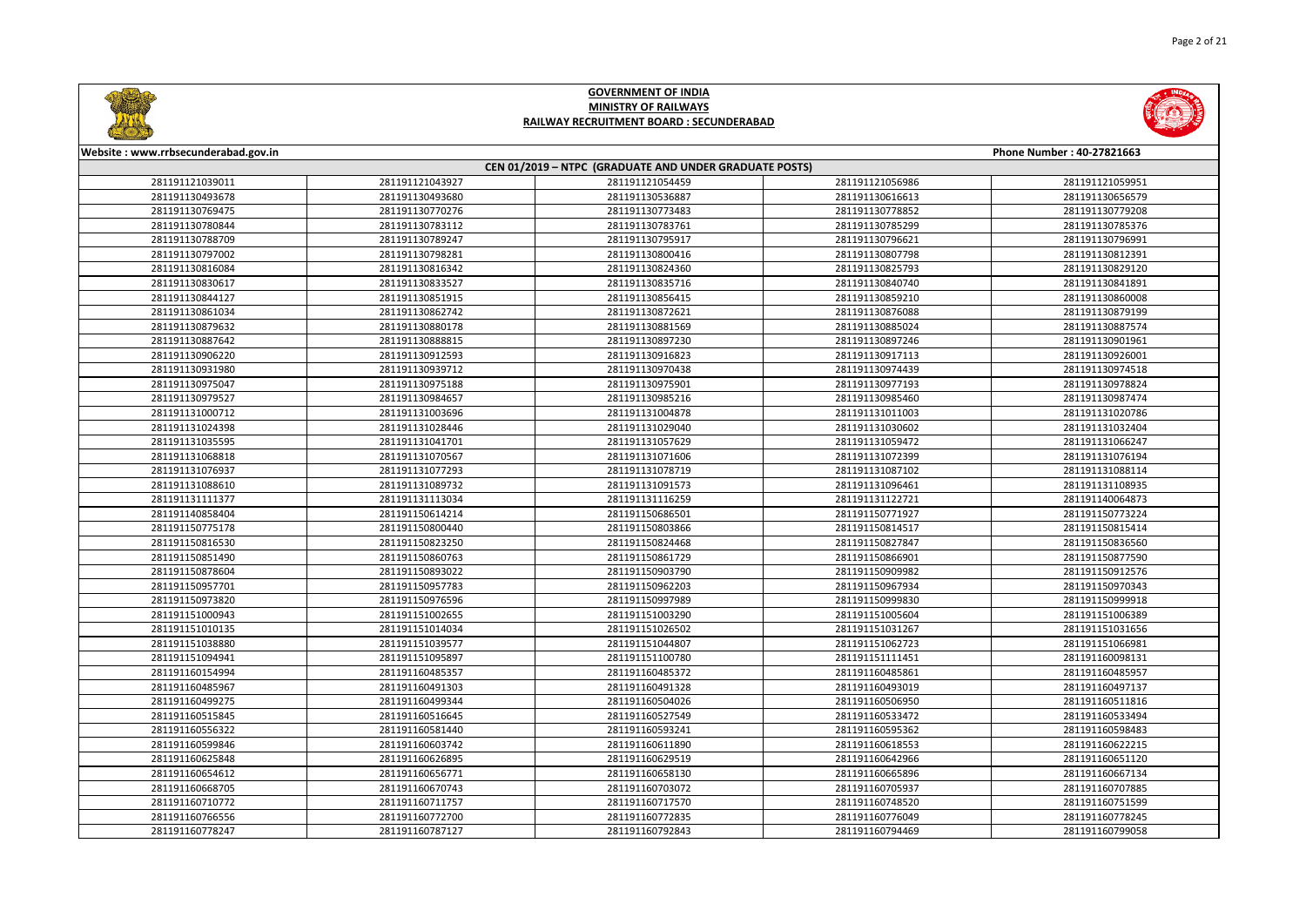



| Website: www.rrbsecunderabad.gov.in<br>Phone Number: 40-27821663 |                 |                                                        |                 |                 |
|------------------------------------------------------------------|-----------------|--------------------------------------------------------|-----------------|-----------------|
|                                                                  |                 | CEN 01/2019 - NTPC (GRADUATE AND UNDER GRADUATE POSTS) |                 |                 |
| 281191121039011                                                  | 281191121043927 | 281191121054459                                        | 281191121056986 | 281191121059951 |
| 281191130493678                                                  | 281191130493680 | 281191130536887                                        | 281191130616613 | 281191130656579 |
| 281191130769475                                                  | 281191130770276 | 281191130773483                                        | 281191130778852 | 281191130779208 |
| 281191130780844                                                  | 281191130783112 | 281191130783761                                        | 281191130785299 | 281191130785376 |
| 281191130788709                                                  | 281191130789247 | 281191130795917                                        | 281191130796621 | 281191130796991 |
| 281191130797002                                                  | 281191130798281 | 281191130800416                                        | 281191130807798 | 281191130812391 |
| 281191130816084                                                  | 281191130816342 | 281191130824360                                        | 281191130825793 | 281191130829120 |
| 281191130830617                                                  | 281191130833527 | 281191130835716                                        | 281191130840740 | 281191130841891 |
| 281191130844127                                                  | 281191130851915 | 281191130856415                                        | 281191130859210 | 281191130860008 |
| 281191130861034                                                  | 281191130862742 | 281191130872621                                        | 281191130876088 | 281191130879199 |
| 281191130879632                                                  | 281191130880178 | 281191130881569                                        | 281191130885024 | 281191130887574 |
| 281191130887642                                                  | 281191130888815 | 281191130897230                                        | 281191130897246 | 281191130901961 |
| 281191130906220                                                  | 281191130912593 | 281191130916823                                        | 281191130917113 | 281191130926001 |
| 281191130931980                                                  | 281191130939712 | 281191130970438                                        | 281191130974439 | 281191130974518 |
| 281191130975047                                                  | 281191130975188 | 281191130975901                                        | 281191130977193 | 281191130978824 |
| 281191130979527                                                  | 281191130984657 | 281191130985216                                        | 281191130985460 | 281191130987474 |
| 281191131000712                                                  | 281191131003696 | 281191131004878                                        | 281191131011003 | 281191131020786 |
| 281191131024398                                                  | 281191131028446 | 281191131029040                                        | 281191131030602 | 281191131032404 |
| 281191131035595                                                  | 281191131041701 | 281191131057629                                        | 281191131059472 | 281191131066247 |
| 281191131068818                                                  | 281191131070567 | 281191131071606                                        | 281191131072399 | 281191131076194 |
| 281191131076937                                                  | 281191131077293 | 281191131078719                                        | 281191131087102 | 281191131088114 |
| 281191131088610                                                  | 281191131089732 | 281191131091573                                        | 281191131096461 | 281191131108935 |
| 281191131111377                                                  | 281191131113034 | 281191131116259                                        | 281191131122721 | 281191140064873 |
| 281191140858404                                                  | 281191150614214 | 281191150686501                                        | 281191150771927 | 281191150773224 |
| 281191150775178                                                  | 281191150800440 | 281191150803866                                        | 281191150814517 | 281191150815414 |
| 281191150816530                                                  | 281191150823250 | 281191150824468                                        | 281191150827847 | 281191150836560 |
| 281191150851490                                                  | 281191150860763 | 281191150861729                                        | 281191150866901 | 281191150877590 |
| 281191150878604                                                  | 281191150893022 | 281191150903790                                        | 281191150909982 | 281191150912576 |
| 281191150957701                                                  | 281191150957783 | 281191150962203                                        | 281191150967934 | 281191150970343 |
| 281191150973820                                                  | 281191150976596 | 281191150997989                                        | 281191150999830 | 281191150999918 |
| 281191151000943                                                  | 281191151002655 | 281191151003290                                        | 281191151005604 | 281191151006389 |
| 281191151010135                                                  | 281191151014034 | 281191151026502                                        | 281191151031267 | 281191151031656 |
| 281191151038880                                                  | 281191151039577 | 281191151044807                                        | 281191151062723 | 281191151066981 |
| 281191151094941                                                  | 281191151095897 | 281191151100780                                        | 281191151111451 | 281191160098131 |
| 281191160154994                                                  | 281191160485357 | 281191160485372                                        | 281191160485861 | 281191160485957 |
| 281191160485967                                                  | 281191160491303 | 281191160491328                                        | 281191160493019 | 281191160497137 |
| 281191160499275                                                  | 281191160499344 | 281191160504026                                        | 281191160506950 | 281191160511816 |
| 281191160515845                                                  | 281191160516645 | 281191160527549                                        | 281191160533472 | 281191160533494 |
| 281191160556322                                                  | 281191160581440 | 281191160593241                                        | 281191160595362 | 281191160598483 |
| 281191160599846                                                  | 281191160603742 | 281191160611890                                        | 281191160618553 | 281191160622215 |
| 281191160625848                                                  | 281191160626895 | 281191160629519                                        | 281191160642966 | 281191160651120 |
| 281191160654612                                                  | 281191160656771 | 281191160658130                                        | 281191160665896 | 281191160667134 |
| 281191160668705                                                  | 281191160670743 | 281191160703072                                        | 281191160705937 | 281191160707885 |
| 281191160710772                                                  | 281191160711757 | 281191160717570                                        | 281191160748520 | 281191160751599 |
| 281191160766556                                                  | 281191160772700 | 281191160772835                                        | 281191160776049 | 281191160778245 |
| 281191160778247                                                  | 281191160787127 | 281191160792843                                        | 281191160794469 | 281191160799058 |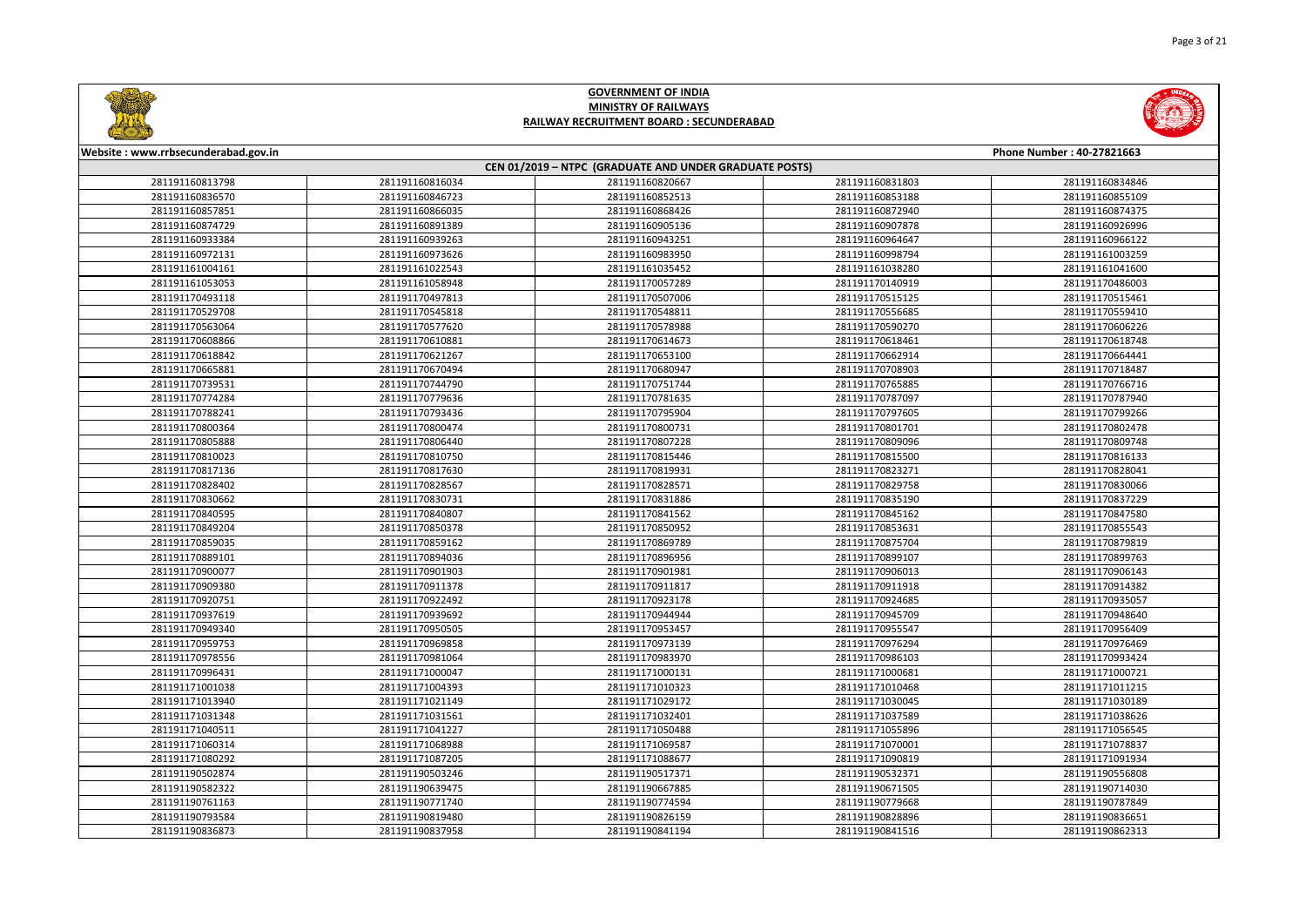



| Website: www.rrbsecunderabad.gov.in<br>Phone Number: 40-27821663 |                                                        |                 |                 |                 |  |  |
|------------------------------------------------------------------|--------------------------------------------------------|-----------------|-----------------|-----------------|--|--|
|                                                                  | CEN 01/2019 - NTPC (GRADUATE AND UNDER GRADUATE POSTS) |                 |                 |                 |  |  |
| 281191160813798                                                  | 281191160816034                                        | 281191160820667 | 281191160831803 | 281191160834846 |  |  |
| 281191160836570                                                  | 281191160846723                                        | 281191160852513 | 281191160853188 | 281191160855109 |  |  |
| 281191160857851                                                  | 281191160866035                                        | 281191160868426 | 281191160872940 | 281191160874375 |  |  |
| 281191160874729                                                  | 281191160891389                                        | 281191160905136 | 281191160907878 | 281191160926996 |  |  |
| 281191160933384                                                  | 281191160939263                                        | 281191160943251 | 281191160964647 | 281191160966122 |  |  |
| 281191160972131                                                  | 281191160973626                                        | 281191160983950 | 281191160998794 | 281191161003259 |  |  |
| 281191161004161                                                  | 281191161022543                                        | 281191161035452 | 281191161038280 | 281191161041600 |  |  |
| 281191161053053                                                  | 281191161058948                                        | 281191170057289 | 281191170140919 | 281191170486003 |  |  |
| 281191170493118                                                  | 281191170497813                                        | 281191170507006 | 281191170515125 | 281191170515461 |  |  |
| 281191170529708                                                  | 281191170545818                                        | 281191170548811 | 281191170556685 | 281191170559410 |  |  |
| 281191170563064                                                  | 281191170577620                                        | 281191170578988 | 281191170590270 | 281191170606226 |  |  |
| 281191170608866                                                  | 281191170610881                                        | 281191170614673 | 281191170618461 | 281191170618748 |  |  |
| 281191170618842                                                  | 281191170621267                                        | 281191170653100 | 281191170662914 | 281191170664441 |  |  |
| 281191170665881                                                  | 281191170670494                                        | 281191170680947 | 281191170708903 | 281191170718487 |  |  |
| 281191170739531                                                  | 281191170744790                                        | 281191170751744 | 281191170765885 | 281191170766716 |  |  |
| 281191170774284                                                  | 281191170779636                                        | 281191170781635 | 281191170787097 | 281191170787940 |  |  |
| 281191170788241                                                  | 281191170793436                                        | 281191170795904 | 281191170797605 | 281191170799266 |  |  |
| 281191170800364                                                  | 281191170800474                                        | 281191170800731 | 281191170801701 | 281191170802478 |  |  |
| 281191170805888                                                  | 281191170806440                                        | 281191170807228 | 281191170809096 | 281191170809748 |  |  |
| 281191170810023                                                  | 281191170810750                                        | 281191170815446 | 281191170815500 | 281191170816133 |  |  |
| 281191170817136                                                  | 281191170817630                                        | 281191170819931 | 281191170823271 | 281191170828041 |  |  |
| 281191170828402                                                  | 281191170828567                                        | 281191170828571 | 281191170829758 | 281191170830066 |  |  |
| 281191170830662                                                  | 281191170830731                                        | 281191170831886 | 281191170835190 | 281191170837229 |  |  |
| 281191170840595                                                  | 281191170840807                                        | 281191170841562 | 281191170845162 | 281191170847580 |  |  |
| 281191170849204                                                  | 281191170850378                                        | 281191170850952 | 281191170853631 | 281191170855543 |  |  |
| 281191170859035                                                  | 281191170859162                                        | 281191170869789 | 281191170875704 | 281191170879819 |  |  |
| 281191170889101                                                  | 281191170894036                                        | 281191170896956 | 281191170899107 | 281191170899763 |  |  |
| 281191170900077                                                  | 281191170901903                                        | 281191170901981 | 281191170906013 | 281191170906143 |  |  |
| 281191170909380                                                  | 281191170911378                                        | 281191170911817 | 281191170911918 | 281191170914382 |  |  |
| 281191170920751                                                  | 281191170922492                                        | 281191170923178 | 281191170924685 | 281191170935057 |  |  |
| 281191170937619                                                  | 281191170939692                                        | 281191170944944 | 281191170945709 | 281191170948640 |  |  |
| 281191170949340                                                  | 281191170950505                                        | 281191170953457 | 281191170955547 | 281191170956409 |  |  |
| 281191170959753                                                  | 281191170969858                                        | 281191170973139 | 281191170976294 | 281191170976469 |  |  |
| 281191170978556                                                  | 281191170981064                                        | 281191170983970 | 281191170986103 | 281191170993424 |  |  |
| 281191170996431                                                  | 281191171000047                                        | 281191171000131 | 281191171000681 | 281191171000721 |  |  |
| 281191171001038                                                  | 281191171004393                                        | 281191171010323 | 281191171010468 | 281191171011215 |  |  |
| 281191171013940                                                  | 281191171021149                                        | 281191171029172 | 281191171030045 | 281191171030189 |  |  |
| 281191171031348                                                  | 281191171031561                                        | 281191171032401 | 281191171037589 | 281191171038626 |  |  |
| 281191171040511                                                  | 281191171041227                                        | 281191171050488 | 281191171055896 | 281191171056545 |  |  |
| 281191171060314                                                  | 281191171068988                                        | 281191171069587 | 281191171070001 | 281191171078837 |  |  |
| 281191171080292                                                  | 281191171087205                                        | 281191171088677 | 281191171090819 | 281191171091934 |  |  |
| 281191190502874                                                  | 281191190503246                                        | 281191190517371 | 281191190532371 | 281191190556808 |  |  |
| 281191190582322                                                  | 281191190639475                                        | 281191190667885 | 281191190671505 | 281191190714030 |  |  |
| 281191190761163                                                  | 281191190771740                                        | 281191190774594 | 281191190779668 | 281191190787849 |  |  |
| 281191190793584                                                  | 281191190819480                                        | 281191190826159 | 281191190828896 | 281191190836651 |  |  |
| 281191190836873                                                  | 281191190837958                                        | 281191190841194 | 281191190841516 | 281191190862313 |  |  |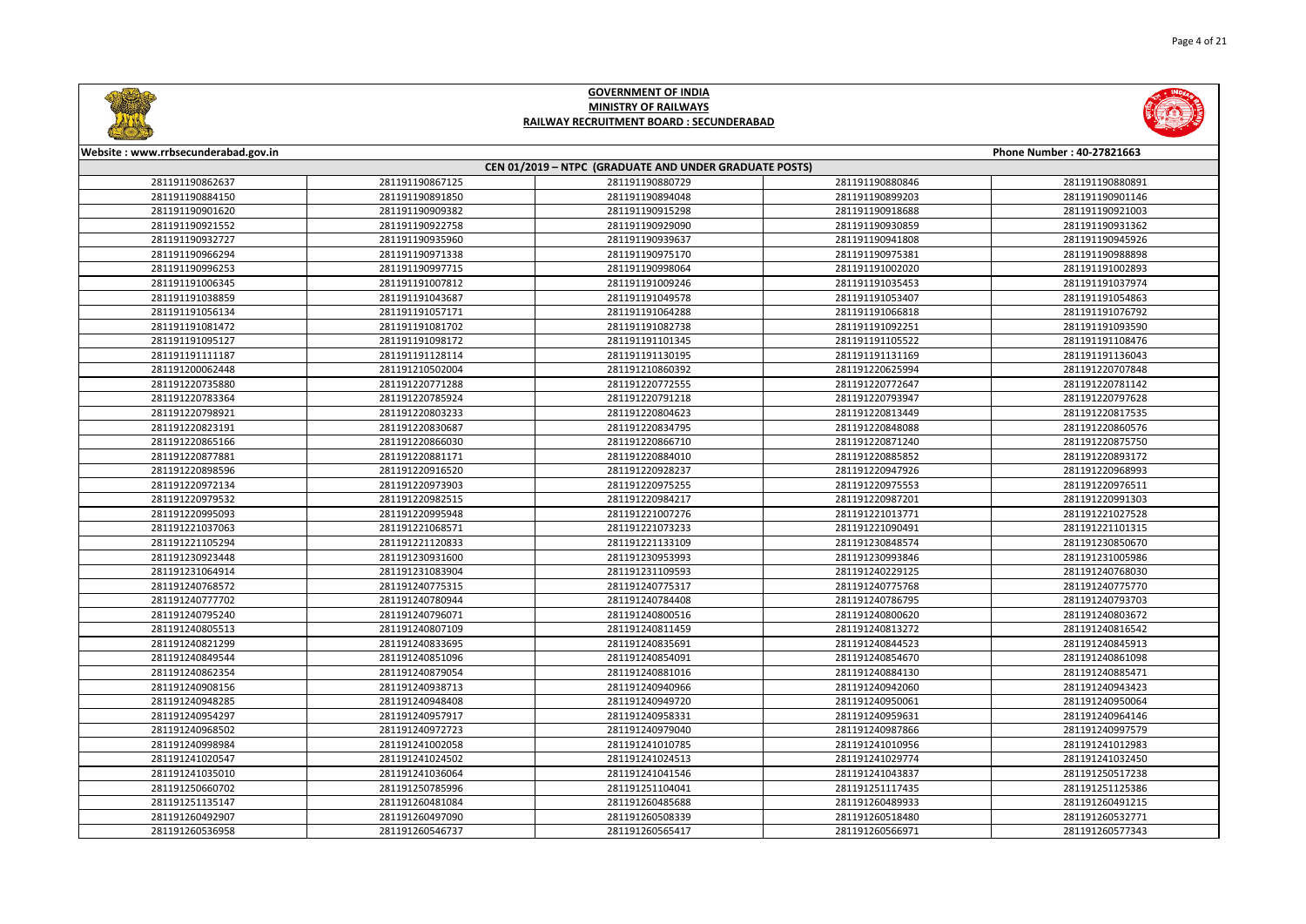



| Website: www.rrbsecunderabad.gov.in<br>Phone Number: 40-27821663 |                 |                                                        |                 |                 |  |
|------------------------------------------------------------------|-----------------|--------------------------------------------------------|-----------------|-----------------|--|
|                                                                  |                 | CEN 01/2019 - NTPC (GRADUATE AND UNDER GRADUATE POSTS) |                 |                 |  |
| 281191190862637                                                  | 281191190867125 | 281191190880729                                        | 281191190880846 | 281191190880891 |  |
| 281191190884150                                                  | 281191190891850 | 281191190894048                                        | 281191190899203 | 281191190901146 |  |
| 281191190901620                                                  | 281191190909382 | 281191190915298                                        | 281191190918688 | 281191190921003 |  |
| 281191190921552                                                  | 281191190922758 | 281191190929090                                        | 281191190930859 | 281191190931362 |  |
| 281191190932727                                                  | 281191190935960 | 281191190939637                                        | 281191190941808 | 281191190945926 |  |
| 281191190966294                                                  | 281191190971338 | 281191190975170                                        | 281191190975381 | 281191190988898 |  |
| 281191190996253                                                  | 281191190997715 | 281191190998064                                        | 281191191002020 | 281191191002893 |  |
| 281191191006345                                                  | 281191191007812 | 281191191009246                                        | 281191191035453 | 281191191037974 |  |
| 281191191038859                                                  | 281191191043687 | 281191191049578                                        | 281191191053407 | 281191191054863 |  |
| 281191191056134                                                  | 281191191057171 | 281191191064288                                        | 281191191066818 | 281191191076792 |  |
| 281191191081472                                                  | 281191191081702 | 281191191082738                                        | 281191191092251 | 281191191093590 |  |
| 281191191095127                                                  | 281191191098172 | 281191191101345                                        | 281191191105522 | 281191191108476 |  |
| 281191191111187                                                  | 281191191128114 | 281191191130195                                        | 281191191131169 | 281191191136043 |  |
| 281191200062448                                                  | 281191210502004 | 281191210860392                                        | 281191220625994 | 281191220707848 |  |
| 281191220735880                                                  | 281191220771288 | 281191220772555                                        | 281191220772647 | 281191220781142 |  |
| 281191220783364                                                  | 281191220785924 | 281191220791218                                        | 281191220793947 | 281191220797628 |  |
| 281191220798921                                                  | 281191220803233 | 281191220804623                                        | 281191220813449 | 281191220817535 |  |
| 281191220823191                                                  | 281191220830687 | 281191220834795                                        | 281191220848088 | 281191220860576 |  |
| 281191220865166                                                  | 281191220866030 | 281191220866710                                        | 281191220871240 | 281191220875750 |  |
| 281191220877881                                                  | 281191220881171 | 281191220884010                                        | 281191220885852 | 281191220893172 |  |
| 281191220898596                                                  | 281191220916520 | 281191220928237                                        | 281191220947926 | 281191220968993 |  |
| 281191220972134                                                  | 281191220973903 | 281191220975255                                        | 281191220975553 | 281191220976511 |  |
| 281191220979532                                                  | 281191220982515 | 281191220984217                                        | 281191220987201 | 281191220991303 |  |
| 281191220995093                                                  | 281191220995948 | 281191221007276                                        | 281191221013771 | 281191221027528 |  |
| 281191221037063                                                  | 281191221068571 | 281191221073233                                        | 281191221090491 | 281191221101315 |  |
| 281191221105294                                                  | 281191221120833 | 281191221133109                                        | 281191230848574 | 281191230850670 |  |
| 281191230923448                                                  | 281191230931600 | 281191230953993                                        | 281191230993846 | 281191231005986 |  |
| 281191231064914                                                  | 281191231083904 | 281191231109593                                        | 281191240229125 | 281191240768030 |  |
| 281191240768572                                                  | 281191240775315 | 281191240775317                                        | 281191240775768 | 281191240775770 |  |
| 281191240777702                                                  | 281191240780944 | 281191240784408                                        | 281191240786795 | 281191240793703 |  |
| 281191240795240                                                  | 281191240796071 | 281191240800516                                        | 281191240800620 | 281191240803672 |  |
| 281191240805513                                                  | 281191240807109 | 281191240811459                                        | 281191240813272 | 281191240816542 |  |
| 281191240821299                                                  | 281191240833695 | 281191240835691                                        | 281191240844523 | 281191240845913 |  |
| 281191240849544                                                  | 281191240851096 | 281191240854091                                        | 281191240854670 | 281191240861098 |  |
| 281191240862354                                                  | 281191240879054 | 281191240881016                                        | 281191240884130 | 281191240885471 |  |
| 281191240908156                                                  | 281191240938713 | 281191240940966                                        | 281191240942060 | 281191240943423 |  |
| 281191240948285                                                  | 281191240948408 | 281191240949720                                        | 281191240950061 | 281191240950064 |  |
| 281191240954297                                                  | 281191240957917 | 281191240958331                                        | 281191240959631 | 281191240964146 |  |
| 281191240968502                                                  | 281191240972723 | 281191240979040                                        | 281191240987866 | 281191240997579 |  |
| 281191240998984                                                  | 281191241002058 | 281191241010785                                        | 281191241010956 | 281191241012983 |  |
| 281191241020547                                                  | 281191241024502 | 281191241024513                                        | 281191241029774 | 281191241032450 |  |
| 281191241035010                                                  | 281191241036064 | 281191241041546                                        | 281191241043837 | 281191250517238 |  |
| 281191250660702                                                  | 281191250785996 | 281191251104041                                        | 281191251117435 | 281191251125386 |  |
| 281191251135147                                                  | 281191260481084 | 281191260485688                                        | 281191260489933 | 281191260491215 |  |
| 281191260492907                                                  | 281191260497090 | 281191260508339                                        | 281191260518480 | 281191260532771 |  |
| 281191260536958                                                  | 281191260546737 | 281191260565417                                        | 281191260566971 | 281191260577343 |  |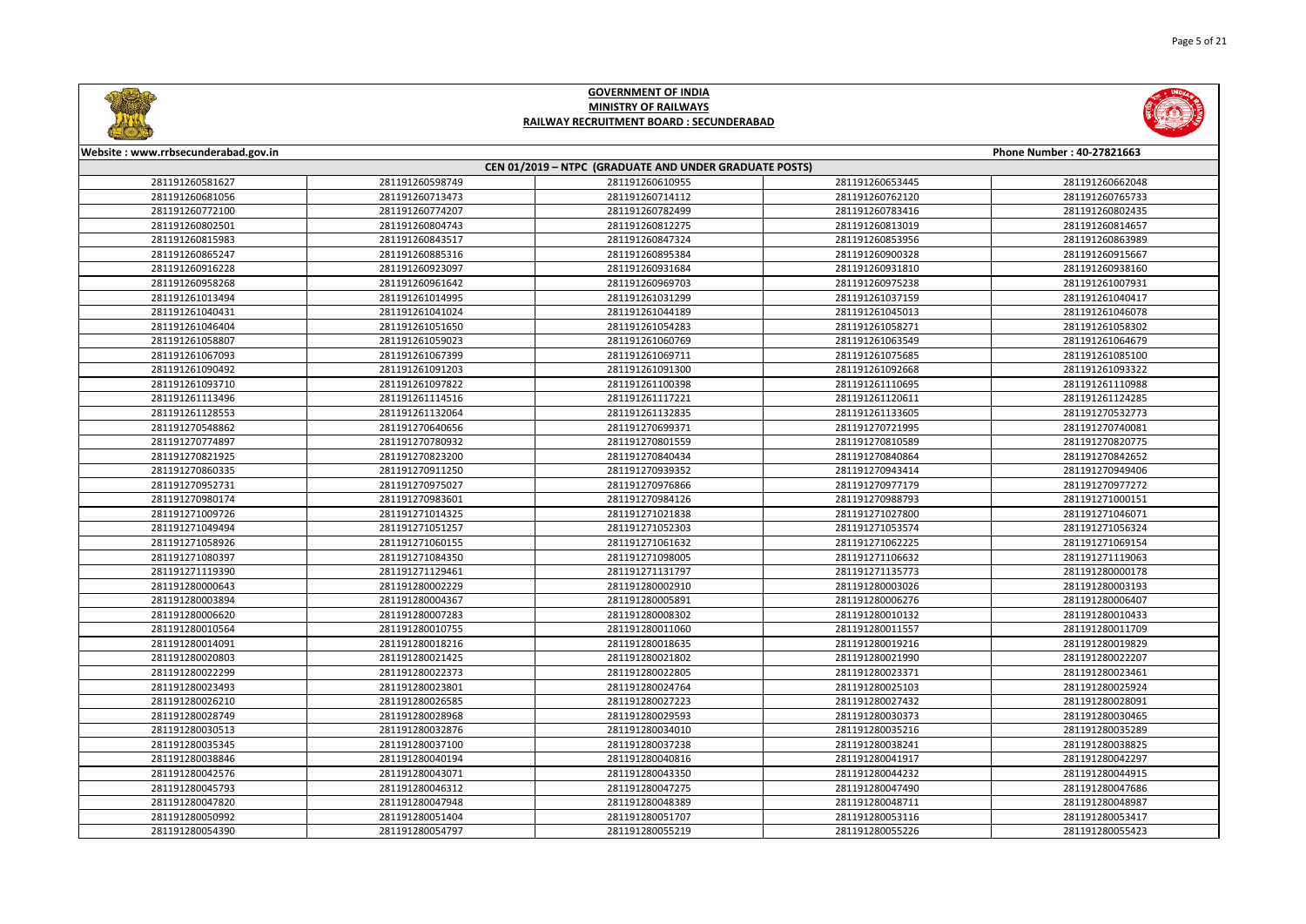



| Website: www.rrbsecunderabad.gov.in |                 |                                                        |                 | Phone Number: 40-27821663 |
|-------------------------------------|-----------------|--------------------------------------------------------|-----------------|---------------------------|
|                                     |                 | CEN 01/2019 - NTPC (GRADUATE AND UNDER GRADUATE POSTS) |                 |                           |
| 281191260581627                     | 281191260598749 | 281191260610955                                        | 281191260653445 | 281191260662048           |
| 281191260681056                     | 281191260713473 | 281191260714112                                        | 281191260762120 | 281191260765733           |
| 281191260772100                     | 281191260774207 | 281191260782499                                        | 281191260783416 | 281191260802435           |
| 281191260802501                     | 281191260804743 | 281191260812275                                        | 281191260813019 | 281191260814657           |
| 281191260815983                     | 281191260843517 | 281191260847324                                        | 281191260853956 | 281191260863989           |
| 281191260865247                     | 281191260885316 | 281191260895384                                        | 281191260900328 | 281191260915667           |
| 281191260916228                     | 281191260923097 | 281191260931684                                        | 281191260931810 | 281191260938160           |
| 281191260958268                     | 281191260961642 | 281191260969703                                        | 281191260975238 | 281191261007931           |
| 281191261013494                     | 281191261014995 | 281191261031299                                        | 281191261037159 | 281191261040417           |
| 281191261040431                     | 281191261041024 | 281191261044189                                        | 281191261045013 | 281191261046078           |
| 281191261046404                     | 281191261051650 | 281191261054283                                        | 281191261058271 | 281191261058302           |
| 281191261058807                     | 281191261059023 | 281191261060769                                        | 281191261063549 | 281191261064679           |
| 281191261067093                     | 281191261067399 | 281191261069711                                        | 281191261075685 | 281191261085100           |
| 281191261090492                     | 281191261091203 | 281191261091300                                        | 281191261092668 | 281191261093322           |
| 281191261093710                     | 281191261097822 | 281191261100398                                        | 281191261110695 | 281191261110988           |
| 281191261113496                     | 281191261114516 | 281191261117221                                        | 281191261120611 | 281191261124285           |
| 281191261128553                     | 281191261132064 | 281191261132835                                        | 281191261133605 | 281191270532773           |
| 281191270548862                     | 281191270640656 | 281191270699371                                        | 281191270721995 | 281191270740081           |
| 281191270774897                     | 281191270780932 | 281191270801559                                        | 281191270810589 | 281191270820775           |
| 281191270821925                     | 281191270823200 | 281191270840434                                        | 281191270840864 | 281191270842652           |
| 281191270860335                     | 281191270911250 | 281191270939352                                        | 281191270943414 | 281191270949406           |
| 281191270952731                     | 281191270975027 | 281191270976866                                        | 281191270977179 | 281191270977272           |
| 281191270980174                     | 281191270983601 | 281191270984126                                        | 281191270988793 | 281191271000151           |
| 281191271009726                     | 281191271014325 | 281191271021838                                        | 281191271027800 | 281191271046071           |
| 281191271049494                     | 281191271051257 | 281191271052303                                        | 281191271053574 | 281191271056324           |
| 281191271058926                     | 281191271060155 | 281191271061632                                        | 281191271062225 | 281191271069154           |
| 281191271080397                     | 281191271084350 | 281191271098005                                        | 281191271106632 | 281191271119063           |
| 281191271119390                     | 281191271129461 | 281191271131797                                        | 281191271135773 | 281191280000178           |
| 281191280000643                     | 281191280002229 | 281191280002910                                        | 281191280003026 | 281191280003193           |
| 281191280003894                     | 281191280004367 | 281191280005891                                        | 281191280006276 | 281191280006407           |
| 281191280006620                     | 281191280007283 | 281191280008302                                        | 281191280010132 | 281191280010433           |
| 281191280010564                     | 281191280010755 | 281191280011060                                        | 281191280011557 | 281191280011709           |
| 281191280014091                     | 281191280018216 | 281191280018635                                        | 281191280019216 | 281191280019829           |
| 281191280020803                     | 281191280021425 | 281191280021802                                        | 281191280021990 | 281191280022207           |
| 281191280022299                     | 281191280022373 | 281191280022805                                        | 281191280023371 | 281191280023461           |
| 281191280023493                     | 281191280023801 | 281191280024764                                        | 281191280025103 | 281191280025924           |
| 281191280026210                     | 281191280026585 | 281191280027223                                        | 281191280027432 | 281191280028091           |
| 281191280028749                     | 281191280028968 | 281191280029593                                        | 281191280030373 | 281191280030465           |
| 281191280030513                     | 281191280032876 | 281191280034010                                        | 281191280035216 | 281191280035289           |
| 281191280035345                     | 281191280037100 | 281191280037238                                        | 281191280038241 | 281191280038825           |
| 281191280038846                     | 281191280040194 | 281191280040816                                        | 281191280041917 | 281191280042297           |
| 281191280042576                     | 281191280043071 | 281191280043350                                        | 281191280044232 | 281191280044915           |
| 281191280045793                     | 281191280046312 | 281191280047275                                        | 281191280047490 | 281191280047686           |
| 281191280047820                     | 281191280047948 | 281191280048389                                        | 281191280048711 | 281191280048987           |
| 281191280050992                     | 281191280051404 | 281191280051707                                        | 281191280053116 | 281191280053417           |
| 281191280054390                     | 281191280054797 | 281191280055219                                        | 281191280055226 | 281191280055423           |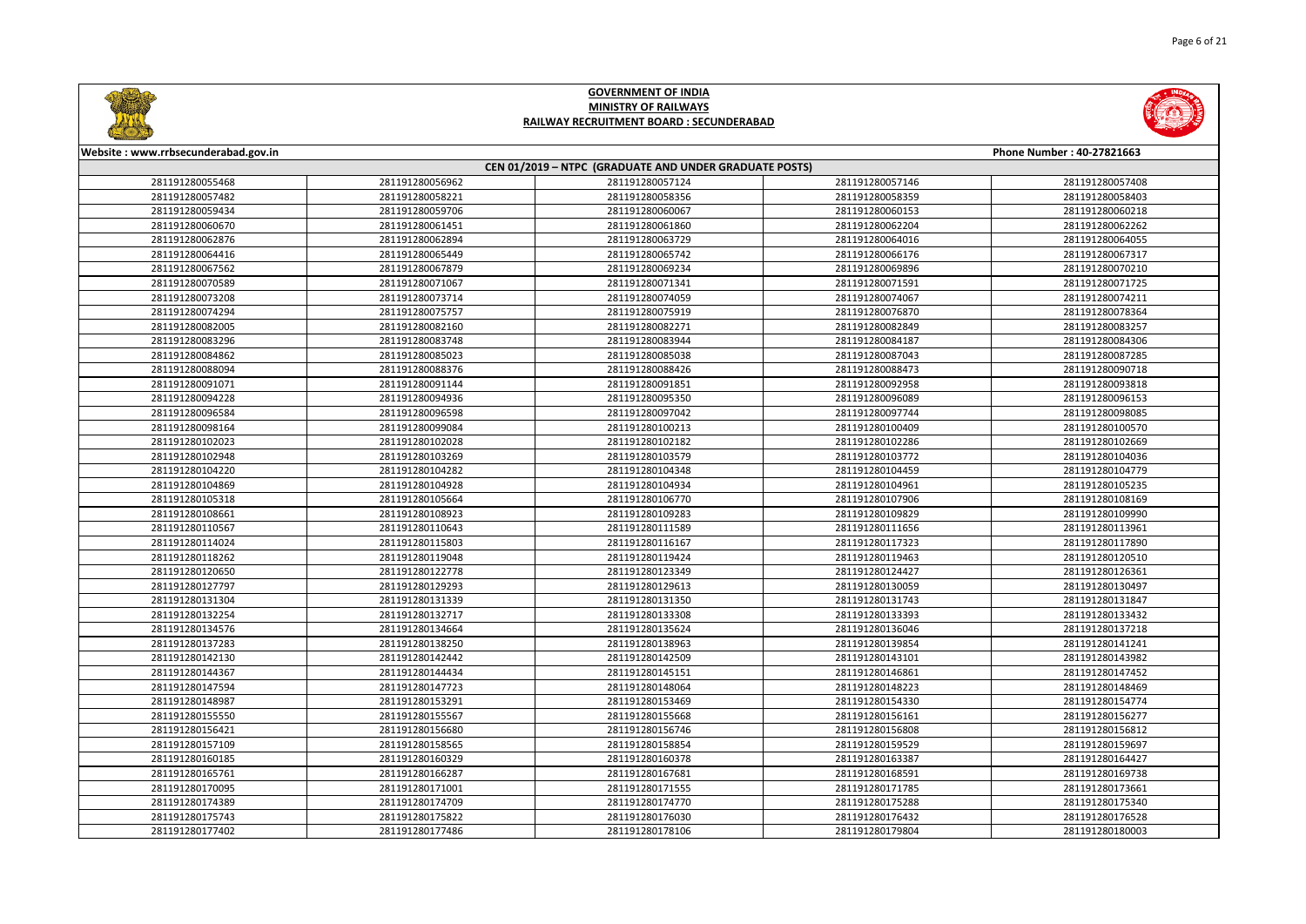



| Website: www.rrbsecunderabad.gov.in |                 |                                                        |                 | Phone Number: 40-27821663 |
|-------------------------------------|-----------------|--------------------------------------------------------|-----------------|---------------------------|
|                                     |                 | CEN 01/2019 - NTPC (GRADUATE AND UNDER GRADUATE POSTS) |                 |                           |
| 281191280055468                     | 281191280056962 | 281191280057124                                        | 281191280057146 | 281191280057408           |
| 281191280057482                     | 281191280058221 | 281191280058356                                        | 281191280058359 | 281191280058403           |
| 281191280059434                     | 281191280059706 | 281191280060067                                        | 281191280060153 | 281191280060218           |
| 281191280060670                     | 281191280061451 | 281191280061860                                        | 281191280062204 | 281191280062262           |
| 281191280062876                     | 281191280062894 | 281191280063729                                        | 281191280064016 | 281191280064055           |
| 281191280064416                     | 281191280065449 | 281191280065742                                        | 281191280066176 | 281191280067317           |
| 281191280067562                     | 281191280067879 | 281191280069234                                        | 281191280069896 | 281191280070210           |
| 281191280070589                     | 281191280071067 | 281191280071341                                        | 281191280071591 | 281191280071725           |
| 281191280073208                     | 281191280073714 | 281191280074059                                        | 281191280074067 | 281191280074211           |
| 281191280074294                     | 281191280075757 | 281191280075919                                        | 281191280076870 | 281191280078364           |
| 281191280082005                     | 281191280082160 | 281191280082271                                        | 281191280082849 | 281191280083257           |
| 281191280083296                     | 281191280083748 | 281191280083944                                        | 281191280084187 | 281191280084306           |
| 281191280084862                     | 281191280085023 | 281191280085038                                        | 281191280087043 | 281191280087285           |
| 281191280088094                     | 281191280088376 | 281191280088426                                        | 281191280088473 | 281191280090718           |
| 281191280091071                     | 281191280091144 | 281191280091851                                        | 281191280092958 | 281191280093818           |
| 281191280094228                     | 281191280094936 | 281191280095350                                        | 281191280096089 | 281191280096153           |
| 281191280096584                     | 281191280096598 | 281191280097042                                        | 281191280097744 | 281191280098085           |
| 281191280098164                     | 281191280099084 | 281191280100213                                        | 281191280100409 | 281191280100570           |
| 281191280102023                     | 281191280102028 | 281191280102182                                        | 281191280102286 | 281191280102669           |
| 281191280102948                     | 281191280103269 | 281191280103579                                        | 281191280103772 | 281191280104036           |
| 281191280104220                     | 281191280104282 | 281191280104348                                        | 281191280104459 | 281191280104779           |
| 281191280104869                     | 281191280104928 | 281191280104934                                        | 281191280104961 | 281191280105235           |
| 281191280105318                     | 281191280105664 | 281191280106770                                        | 281191280107906 | 281191280108169           |
| 281191280108661                     | 281191280108923 | 281191280109283                                        | 281191280109829 | 281191280109990           |
| 281191280110567                     | 281191280110643 | 281191280111589                                        | 281191280111656 | 281191280113961           |
| 281191280114024                     | 281191280115803 | 281191280116167                                        | 281191280117323 | 281191280117890           |
| 281191280118262                     | 281191280119048 | 281191280119424                                        | 281191280119463 | 281191280120510           |
| 281191280120650                     | 281191280122778 | 281191280123349                                        | 281191280124427 | 281191280126361           |
| 281191280127797                     | 281191280129293 | 281191280129613                                        | 281191280130059 | 281191280130497           |
| 281191280131304                     | 281191280131339 | 281191280131350                                        | 281191280131743 | 281191280131847           |
| 281191280132254                     | 281191280132717 | 281191280133308                                        | 281191280133393 | 281191280133432           |
| 281191280134576                     | 281191280134664 | 281191280135624                                        | 281191280136046 | 281191280137218           |
| 281191280137283                     | 281191280138250 | 281191280138963                                        | 281191280139854 | 281191280141241           |
| 281191280142130                     | 281191280142442 | 281191280142509                                        | 281191280143101 | 281191280143982           |
| 281191280144367                     | 281191280144434 | 281191280145151                                        | 281191280146861 | 281191280147452           |
| 281191280147594                     | 281191280147723 | 281191280148064                                        | 281191280148223 | 281191280148469           |
| 281191280148987                     | 281191280153291 | 281191280153469                                        | 281191280154330 | 281191280154774           |
| 281191280155550                     | 281191280155567 | 281191280155668                                        | 281191280156161 | 281191280156277           |
| 281191280156421                     | 281191280156680 | 281191280156746                                        | 281191280156808 | 281191280156812           |
| 281191280157109                     | 281191280158565 | 281191280158854                                        | 281191280159529 | 281191280159697           |
| 281191280160185                     | 281191280160329 | 281191280160378                                        | 281191280163387 | 281191280164427           |
| 281191280165761                     | 281191280166287 | 281191280167681                                        | 281191280168591 | 281191280169738           |
| 281191280170095                     | 281191280171001 | 281191280171555                                        | 281191280171785 | 281191280173661           |
| 281191280174389                     | 281191280174709 | 281191280174770                                        | 281191280175288 | 281191280175340           |
| 281191280175743                     | 281191280175822 | 281191280176030                                        | 281191280176432 | 281191280176528           |
| 281191280177402                     | 281191280177486 | 281191280178106                                        | 281191280179804 | 281191280180003           |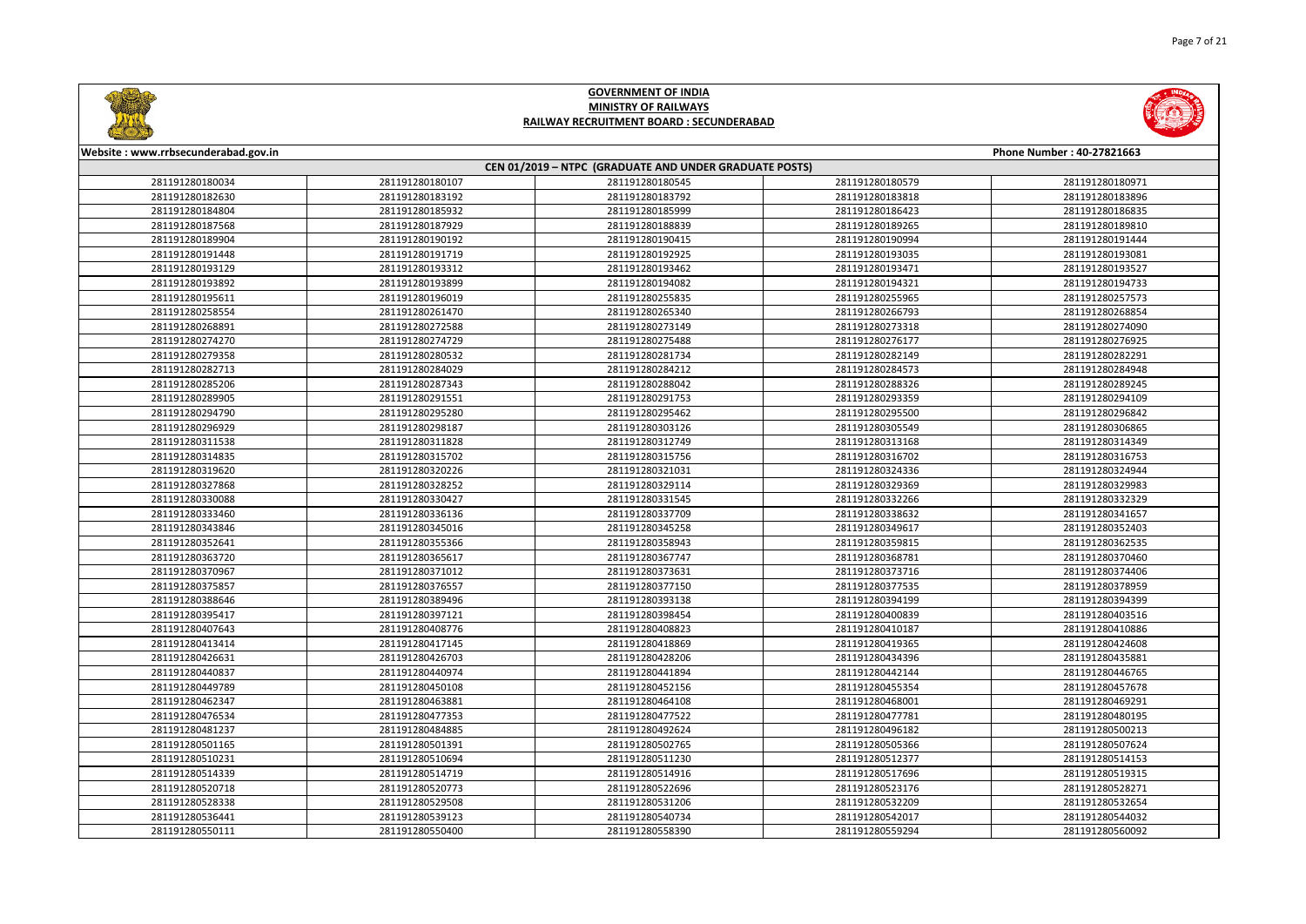



| Website: www.rrbsecunderabad.gov.in |                 |                                                        |                 | Phone Number: 40-27821663 |
|-------------------------------------|-----------------|--------------------------------------------------------|-----------------|---------------------------|
|                                     |                 | CEN 01/2019 - NTPC (GRADUATE AND UNDER GRADUATE POSTS) |                 |                           |
| 281191280180034                     | 281191280180107 | 281191280180545                                        | 281191280180579 | 281191280180971           |
| 281191280182630                     | 281191280183192 | 281191280183792                                        | 281191280183818 | 281191280183896           |
| 281191280184804                     | 281191280185932 | 281191280185999                                        | 281191280186423 | 281191280186835           |
| 281191280187568                     | 281191280187929 | 281191280188839                                        | 281191280189265 | 281191280189810           |
| 281191280189904                     | 281191280190192 | 281191280190415                                        | 281191280190994 | 281191280191444           |
| 281191280191448                     | 281191280191719 | 281191280192925                                        | 281191280193035 | 281191280193081           |
| 281191280193129                     | 281191280193312 | 281191280193462                                        | 281191280193471 | 281191280193527           |
| 281191280193892                     | 281191280193899 | 281191280194082                                        | 281191280194321 | 281191280194733           |
| 281191280195611                     | 281191280196019 | 281191280255835                                        | 281191280255965 | 281191280257573           |
| 281191280258554                     | 281191280261470 | 281191280265340                                        | 281191280266793 | 281191280268854           |
| 281191280268891                     | 281191280272588 | 281191280273149                                        | 281191280273318 | 281191280274090           |
| 281191280274270                     | 281191280274729 | 281191280275488                                        | 281191280276177 | 281191280276925           |
| 281191280279358                     | 281191280280532 | 281191280281734                                        | 281191280282149 | 281191280282291           |
| 281191280282713                     | 281191280284029 | 281191280284212                                        | 281191280284573 | 281191280284948           |
| 281191280285206                     | 281191280287343 | 281191280288042                                        | 281191280288326 | 281191280289245           |
| 281191280289905                     | 281191280291551 | 281191280291753                                        | 281191280293359 | 281191280294109           |
| 281191280294790                     | 281191280295280 | 281191280295462                                        | 281191280295500 | 281191280296842           |
| 281191280296929                     | 281191280298187 | 281191280303126                                        | 281191280305549 | 281191280306865           |
| 281191280311538                     | 281191280311828 | 281191280312749                                        | 281191280313168 | 281191280314349           |
| 281191280314835                     | 281191280315702 | 281191280315756                                        | 281191280316702 | 281191280316753           |
| 281191280319620                     | 281191280320226 | 281191280321031                                        | 281191280324336 | 281191280324944           |
| 281191280327868                     | 281191280328252 | 281191280329114                                        | 281191280329369 | 281191280329983           |
| 281191280330088                     | 281191280330427 | 281191280331545                                        | 281191280332266 | 281191280332329           |
| 281191280333460                     | 281191280336136 | 281191280337709                                        | 281191280338632 | 281191280341657           |
| 281191280343846                     | 281191280345016 | 281191280345258                                        | 281191280349617 | 281191280352403           |
| 281191280352641                     | 281191280355366 | 281191280358943                                        | 281191280359815 | 281191280362535           |
| 281191280363720                     | 281191280365617 | 281191280367747                                        | 281191280368781 | 281191280370460           |
| 281191280370967                     | 281191280371012 | 281191280373631                                        | 281191280373716 | 281191280374406           |
| 281191280375857                     | 281191280376557 | 281191280377150                                        | 281191280377535 | 281191280378959           |
| 281191280388646                     | 281191280389496 | 281191280393138                                        | 281191280394199 | 281191280394399           |
| 281191280395417                     | 281191280397121 | 281191280398454                                        | 281191280400839 | 281191280403516           |
| 281191280407643                     | 281191280408776 | 281191280408823                                        | 281191280410187 | 281191280410886           |
| 281191280413414                     | 281191280417145 | 281191280418869                                        | 281191280419365 | 281191280424608           |
| 281191280426631                     | 281191280426703 | 281191280428206                                        | 281191280434396 | 281191280435881           |
| 281191280440837                     | 281191280440974 | 281191280441894                                        | 281191280442144 | 281191280446765           |
| 281191280449789                     | 281191280450108 | 281191280452156                                        | 281191280455354 | 281191280457678           |
| 281191280462347                     | 281191280463881 | 281191280464108                                        | 281191280468001 | 281191280469291           |
| 281191280476534                     | 281191280477353 | 281191280477522                                        | 281191280477781 | 281191280480195           |
| 281191280481237                     | 281191280484885 | 281191280492624                                        | 281191280496182 | 281191280500213           |
| 281191280501165                     | 281191280501391 | 281191280502765                                        | 281191280505366 | 281191280507624           |
| 281191280510231                     | 281191280510694 | 281191280511230                                        | 281191280512377 | 281191280514153           |
| 281191280514339                     | 281191280514719 | 281191280514916                                        | 281191280517696 | 281191280519315           |
| 281191280520718                     | 281191280520773 | 281191280522696                                        | 281191280523176 | 281191280528271           |
| 281191280528338                     | 281191280529508 | 281191280531206                                        | 281191280532209 | 281191280532654           |
| 281191280536441                     | 281191280539123 | 281191280540734                                        | 281191280542017 | 281191280544032           |
| 281191280550111                     | 281191280550400 | 281191280558390                                        | 281191280559294 | 281191280560092           |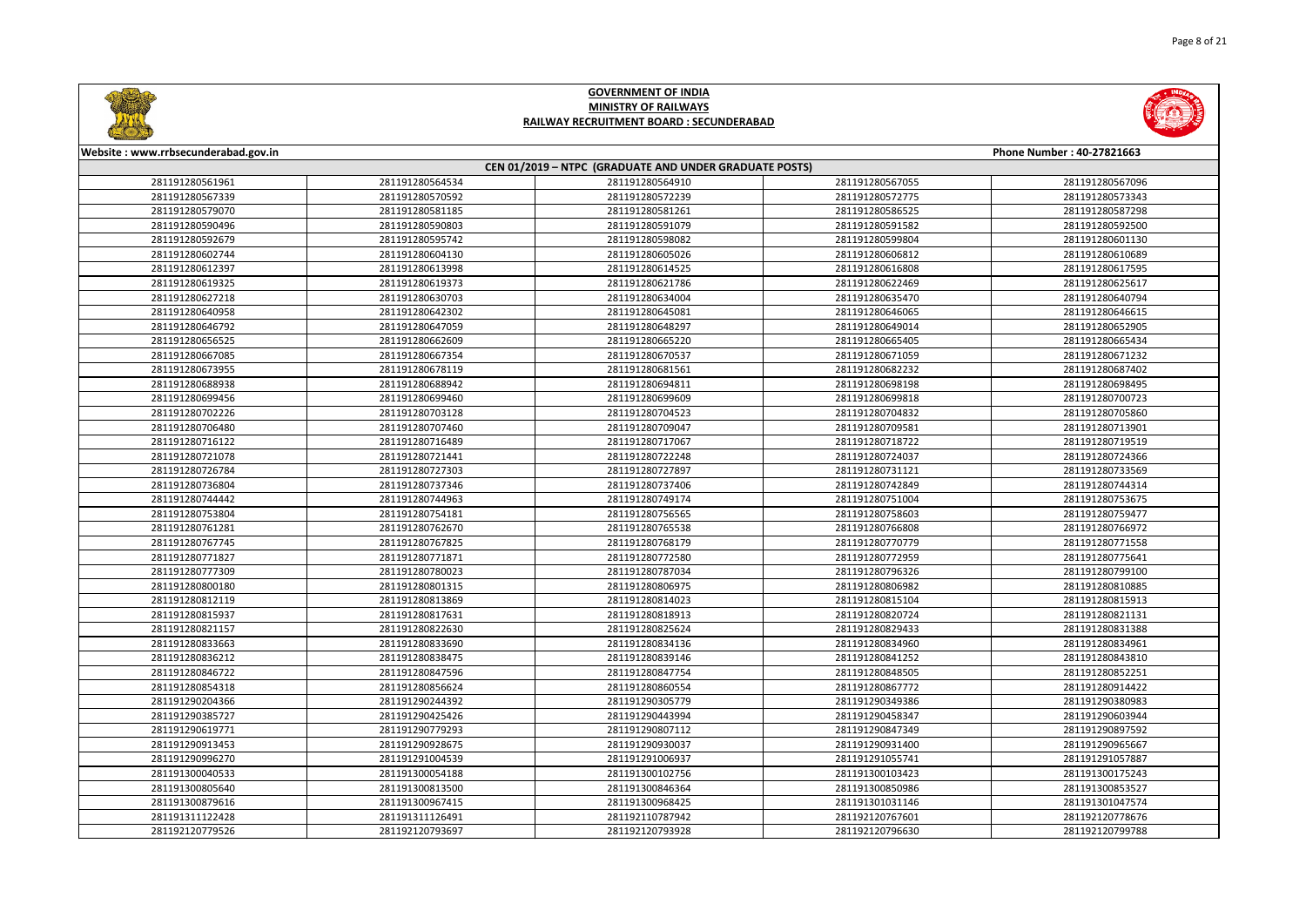



| Website: www.rrbsecunderabad.gov.in |                                                        |                 |                 | Phone Number: 40-27821663 |  |  |
|-------------------------------------|--------------------------------------------------------|-----------------|-----------------|---------------------------|--|--|
|                                     | CEN 01/2019 - NTPC (GRADUATE AND UNDER GRADUATE POSTS) |                 |                 |                           |  |  |
| 281191280561961                     | 281191280564534                                        | 281191280564910 | 281191280567055 | 281191280567096           |  |  |
| 281191280567339                     | 281191280570592                                        | 281191280572239 | 281191280572775 | 281191280573343           |  |  |
| 281191280579070                     | 281191280581185                                        | 281191280581261 | 281191280586525 | 281191280587298           |  |  |
| 281191280590496                     | 281191280590803                                        | 281191280591079 | 281191280591582 | 281191280592500           |  |  |
| 281191280592679                     | 281191280595742                                        | 281191280598082 | 281191280599804 | 281191280601130           |  |  |
| 281191280602744                     | 281191280604130                                        | 281191280605026 | 281191280606812 | 281191280610689           |  |  |
| 281191280612397                     | 281191280613998                                        | 281191280614525 | 281191280616808 | 281191280617595           |  |  |
| 281191280619325                     | 281191280619373                                        | 281191280621786 | 281191280622469 | 281191280625617           |  |  |
| 281191280627218                     | 281191280630703                                        | 281191280634004 | 281191280635470 | 281191280640794           |  |  |
| 281191280640958                     | 281191280642302                                        | 281191280645081 | 281191280646065 | 281191280646615           |  |  |
| 281191280646792                     | 281191280647059                                        | 281191280648297 | 281191280649014 | 281191280652905           |  |  |
| 281191280656525                     | 281191280662609                                        | 281191280665220 | 281191280665405 | 281191280665434           |  |  |
| 281191280667085                     | 281191280667354                                        | 281191280670537 | 281191280671059 | 281191280671232           |  |  |
| 281191280673955                     | 281191280678119                                        | 281191280681561 | 281191280682232 | 281191280687402           |  |  |
| 281191280688938                     | 281191280688942                                        | 281191280694811 | 281191280698198 | 281191280698495           |  |  |
| 281191280699456                     | 281191280699460                                        | 281191280699609 | 281191280699818 | 281191280700723           |  |  |
| 281191280702226                     | 281191280703128                                        | 281191280704523 | 281191280704832 | 281191280705860           |  |  |
| 281191280706480                     | 281191280707460                                        | 281191280709047 | 281191280709581 | 281191280713901           |  |  |
| 281191280716122                     | 281191280716489                                        | 281191280717067 | 281191280718722 | 281191280719519           |  |  |
| 281191280721078                     | 281191280721441                                        | 281191280722248 | 281191280724037 | 281191280724366           |  |  |
| 281191280726784                     | 281191280727303                                        | 281191280727897 | 281191280731121 | 281191280733569           |  |  |
| 281191280736804                     | 281191280737346                                        | 281191280737406 | 281191280742849 | 281191280744314           |  |  |
| 281191280744442                     | 281191280744963                                        | 281191280749174 | 281191280751004 | 281191280753675           |  |  |
| 281191280753804                     | 281191280754181                                        | 281191280756565 | 281191280758603 | 281191280759477           |  |  |
| 281191280761281                     | 281191280762670                                        | 281191280765538 | 281191280766808 | 281191280766972           |  |  |
| 281191280767745                     | 281191280767825                                        | 281191280768179 | 281191280770779 | 281191280771558           |  |  |
| 281191280771827                     | 281191280771871                                        | 281191280772580 | 281191280772959 | 281191280775641           |  |  |
| 281191280777309                     | 281191280780023                                        | 281191280787034 | 281191280796326 | 281191280799100           |  |  |
| 281191280800180                     | 281191280801315                                        | 281191280806975 | 281191280806982 | 281191280810885           |  |  |
| 281191280812119                     | 281191280813869                                        | 281191280814023 | 281191280815104 | 281191280815913           |  |  |
| 281191280815937                     | 281191280817631                                        | 281191280818913 | 281191280820724 | 281191280821131           |  |  |
| 281191280821157                     | 281191280822630                                        | 281191280825624 | 281191280829433 | 281191280831388           |  |  |
| 281191280833663                     | 281191280833690                                        | 281191280834136 | 281191280834960 | 281191280834961           |  |  |
| 281191280836212                     | 281191280838475                                        | 281191280839146 | 281191280841252 | 281191280843810           |  |  |
| 281191280846722                     | 281191280847596                                        | 281191280847754 | 281191280848505 | 281191280852251           |  |  |
| 281191280854318                     | 281191280856624                                        | 281191280860554 | 281191280867772 | 281191280914422           |  |  |
| 281191290204366                     | 281191290244392                                        | 281191290305779 | 281191290349386 | 281191290380983           |  |  |
| 281191290385727                     | 281191290425426                                        | 281191290443994 | 281191290458347 | 281191290603944           |  |  |
| 281191290619771                     | 281191290779293                                        | 281191290807112 | 281191290847349 | 281191290897592           |  |  |
| 281191290913453                     | 281191290928675                                        | 281191290930037 | 281191290931400 | 281191290965667           |  |  |
| 281191290996270                     | 281191291004539                                        | 281191291006937 | 281191291055741 | 281191291057887           |  |  |
| 281191300040533                     | 281191300054188                                        | 281191300102756 | 281191300103423 | 281191300175243           |  |  |
| 281191300805640                     | 281191300813500                                        | 281191300846364 | 281191300850986 | 281191300853527           |  |  |
| 281191300879616                     | 281191300967415                                        | 281191300968425 | 281191301031146 | 281191301047574           |  |  |
| 281191311122428                     | 281191311126491                                        | 281192110787942 | 281192120767601 | 281192120778676           |  |  |
| 281192120779526                     | 281192120793697                                        | 281192120793928 | 281192120796630 | 281192120799788           |  |  |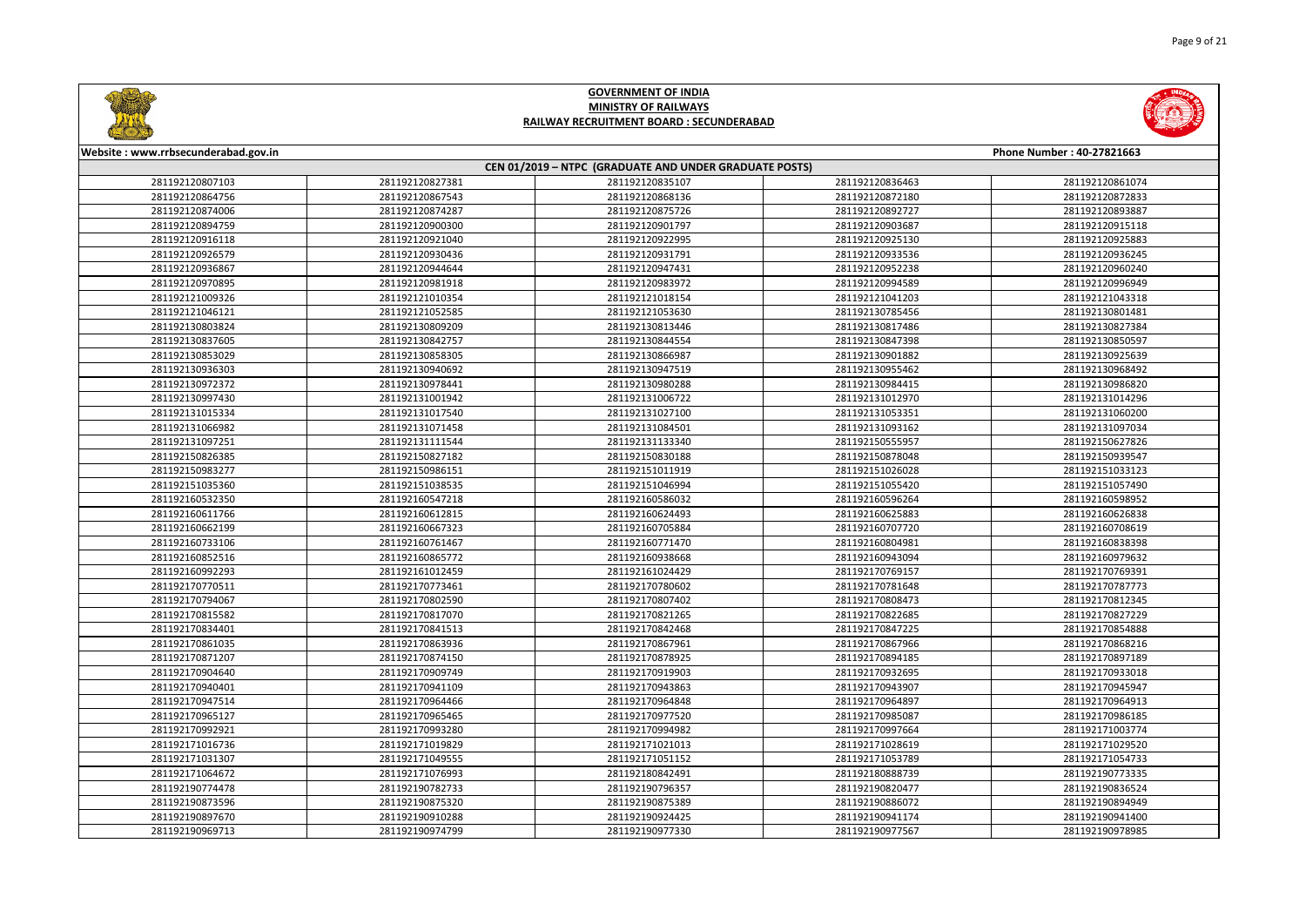



| Website: www.rrbsecunderabad.gov.in<br>Phone Number: 40-27821663 |                 |                                                        |                 |                 |
|------------------------------------------------------------------|-----------------|--------------------------------------------------------|-----------------|-----------------|
|                                                                  |                 | CEN 01/2019 - NTPC (GRADUATE AND UNDER GRADUATE POSTS) |                 |                 |
| 281192120807103                                                  | 281192120827381 | 281192120835107                                        | 281192120836463 | 281192120861074 |
| 281192120864756                                                  | 281192120867543 | 281192120868136                                        | 281192120872180 | 281192120872833 |
| 281192120874006                                                  | 281192120874287 | 281192120875726                                        | 281192120892727 | 281192120893887 |
| 281192120894759                                                  | 281192120900300 | 281192120901797                                        | 281192120903687 | 281192120915118 |
| 281192120916118                                                  | 281192120921040 | 281192120922995                                        | 281192120925130 | 281192120925883 |
| 281192120926579                                                  | 281192120930436 | 281192120931791                                        | 281192120933536 | 281192120936245 |
| 281192120936867                                                  | 281192120944644 | 281192120947431                                        | 281192120952238 | 281192120960240 |
| 281192120970895                                                  | 281192120981918 | 281192120983972                                        | 281192120994589 | 281192120996949 |
| 281192121009326                                                  | 281192121010354 | 281192121018154                                        | 281192121041203 | 281192121043318 |
| 281192121046121                                                  | 281192121052585 | 281192121053630                                        | 281192130785456 | 281192130801481 |
| 281192130803824                                                  | 281192130809209 | 281192130813446                                        | 281192130817486 | 281192130827384 |
| 281192130837605                                                  | 281192130842757 | 281192130844554                                        | 281192130847398 | 281192130850597 |
| 281192130853029                                                  | 281192130858305 | 281192130866987                                        | 281192130901882 | 281192130925639 |
| 281192130936303                                                  | 281192130940692 | 281192130947519                                        | 281192130955462 | 281192130968492 |
| 281192130972372                                                  | 281192130978441 | 281192130980288                                        | 281192130984415 | 281192130986820 |
| 281192130997430                                                  | 281192131001942 | 281192131006722                                        | 281192131012970 | 281192131014296 |
| 281192131015334                                                  | 281192131017540 | 281192131027100                                        | 281192131053351 | 281192131060200 |
| 281192131066982                                                  | 281192131071458 | 281192131084501                                        | 281192131093162 | 281192131097034 |
| 281192131097251                                                  | 281192131111544 | 281192131133340                                        | 281192150555957 | 281192150627826 |
| 281192150826385                                                  | 281192150827182 | 281192150830188                                        | 281192150878048 | 281192150939547 |
| 281192150983277                                                  | 281192150986151 | 281192151011919                                        | 281192151026028 | 281192151033123 |
| 281192151035360                                                  | 281192151038535 | 281192151046994                                        | 281192151055420 | 281192151057490 |
| 281192160532350                                                  | 281192160547218 | 281192160586032                                        | 281192160596264 | 281192160598952 |
| 281192160611766                                                  | 281192160612815 | 281192160624493                                        | 281192160625883 | 281192160626838 |
| 281192160662199                                                  | 281192160667323 | 281192160705884                                        | 281192160707720 | 281192160708619 |
| 281192160733106                                                  | 281192160761467 | 281192160771470                                        | 281192160804981 | 281192160838398 |
| 281192160852516                                                  | 281192160865772 | 281192160938668                                        | 281192160943094 | 281192160979632 |
| 281192160992293                                                  | 281192161012459 | 281192161024429                                        | 281192170769157 | 281192170769391 |
| 281192170770511                                                  | 281192170773461 | 281192170780602                                        | 281192170781648 | 281192170787773 |
| 281192170794067                                                  | 281192170802590 | 281192170807402                                        | 281192170808473 | 281192170812345 |
| 281192170815582                                                  | 281192170817070 | 281192170821265                                        | 281192170822685 | 281192170827229 |
| 281192170834401                                                  | 281192170841513 | 281192170842468                                        | 281192170847225 | 281192170854888 |
| 281192170861035                                                  | 281192170863936 | 281192170867961                                        | 281192170867966 | 281192170868216 |
| 281192170871207                                                  | 281192170874150 | 281192170878925                                        | 281192170894185 | 281192170897189 |
| 281192170904640                                                  | 281192170909749 | 281192170919903                                        | 281192170932695 | 281192170933018 |
| 281192170940401                                                  | 281192170941109 | 281192170943863                                        | 281192170943907 | 281192170945947 |
| 281192170947514                                                  | 281192170964466 | 281192170964848                                        | 281192170964897 | 281192170964913 |
| 281192170965127                                                  | 281192170965465 | 281192170977520                                        | 281192170985087 | 281192170986185 |
| 281192170992921                                                  | 281192170993280 | 281192170994982                                        | 281192170997664 | 281192171003774 |
| 281192171016736                                                  | 281192171019829 | 281192171021013                                        | 281192171028619 | 281192171029520 |
| 281192171031307                                                  | 281192171049555 | 281192171051152                                        | 281192171053789 | 281192171054733 |
| 281192171064672                                                  | 281192171076993 | 281192180842491                                        | 281192180888739 | 281192190773335 |
| 281192190774478                                                  | 281192190782733 | 281192190796357                                        | 281192190820477 | 281192190836524 |
| 281192190873596                                                  | 281192190875320 | 281192190875389                                        | 281192190886072 | 281192190894949 |
| 281192190897670                                                  | 281192190910288 | 281192190924425                                        | 281192190941174 | 281192190941400 |
| 281192190969713                                                  | 281192190974799 | 281192190977330                                        | 281192190977567 | 281192190978985 |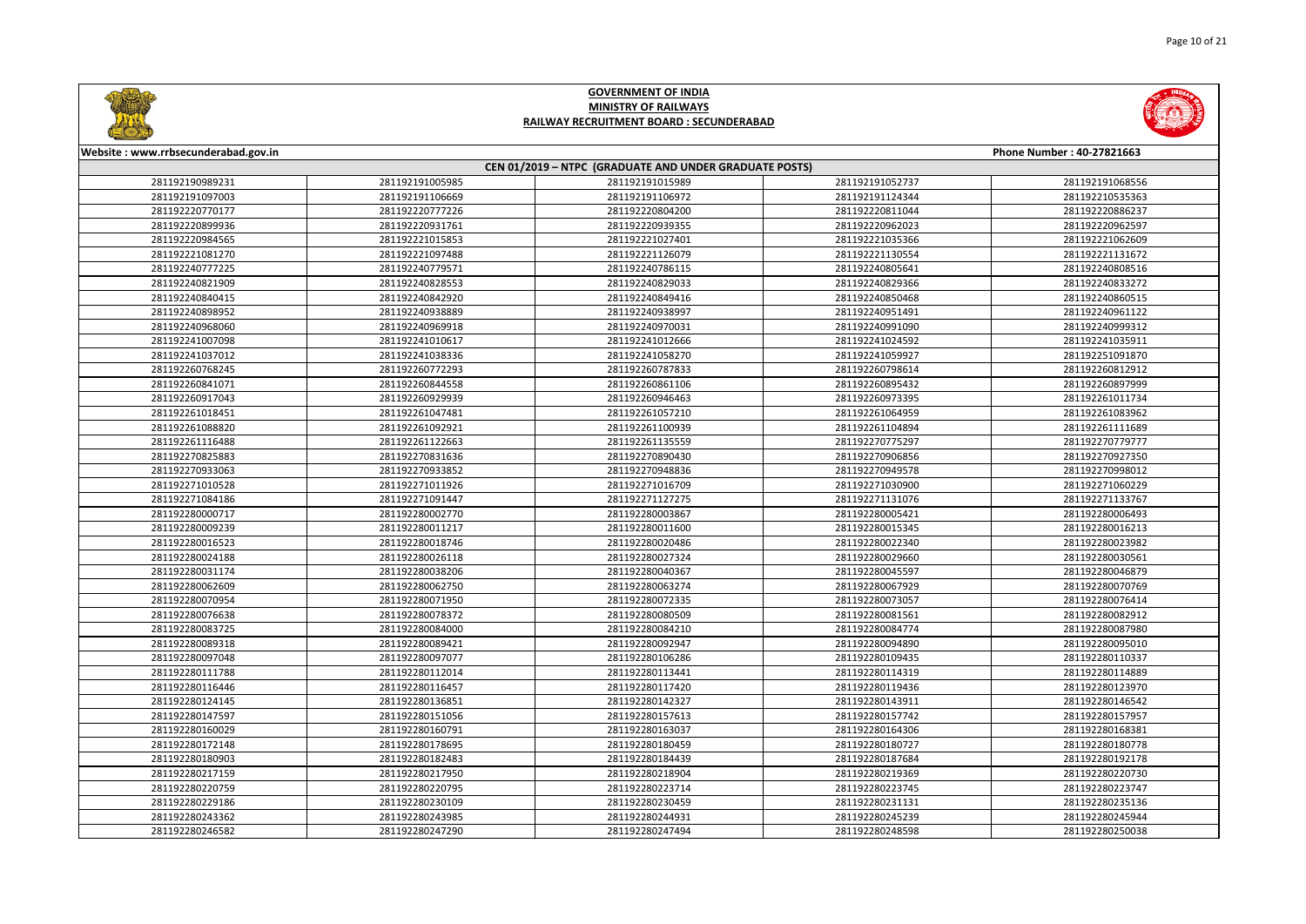



| Website: www.rrbsecunderabad.gov.in |                 |                                                        |                 | Phone Number: 40-27821663 |
|-------------------------------------|-----------------|--------------------------------------------------------|-----------------|---------------------------|
|                                     |                 | CEN 01/2019 - NTPC (GRADUATE AND UNDER GRADUATE POSTS) |                 |                           |
| 281192190989231                     | 281192191005985 | 281192191015989                                        | 281192191052737 | 281192191068556           |
| 281192191097003                     | 281192191106669 | 281192191106972                                        | 281192191124344 | 281192210535363           |
| 281192220770177                     | 281192220777226 | 281192220804200                                        | 281192220811044 | 281192220886237           |
| 281192220899936                     | 281192220931761 | 281192220939355                                        | 281192220962023 | 281192220962597           |
| 281192220984565                     | 281192221015853 | 281192221027401                                        | 281192221035366 | 281192221062609           |
| 281192221081270                     | 281192221097488 | 281192221126079                                        | 281192221130554 | 281192221131672           |
| 281192240777225                     | 281192240779571 | 281192240786115                                        | 281192240805641 | 281192240808516           |
| 281192240821909                     | 281192240828553 | 281192240829033                                        | 281192240829366 | 281192240833272           |
| 281192240840415                     | 281192240842920 | 281192240849416                                        | 281192240850468 | 281192240860515           |
| 281192240898952                     | 281192240938889 | 281192240938997                                        | 281192240951491 | 281192240961122           |
| 281192240968060                     | 281192240969918 | 281192240970031                                        | 281192240991090 | 281192240999312           |
| 281192241007098                     | 281192241010617 | 281192241012666                                        | 281192241024592 | 281192241035911           |
| 281192241037012                     | 281192241038336 | 281192241058270                                        | 281192241059927 | 281192251091870           |
| 281192260768245                     | 281192260772293 | 281192260787833                                        | 281192260798614 | 281192260812912           |
| 281192260841071                     | 281192260844558 | 281192260861106                                        | 281192260895432 | 281192260897999           |
| 281192260917043                     | 281192260929939 | 281192260946463                                        | 281192260973395 | 281192261011734           |
| 281192261018451                     | 281192261047481 | 281192261057210                                        | 281192261064959 | 281192261083962           |
| 281192261088820                     | 281192261092921 | 281192261100939                                        | 281192261104894 | 281192261111689           |
| 281192261116488                     | 281192261122663 | 281192261135559                                        | 281192270775297 | 281192270779777           |
| 281192270825883                     | 281192270831636 | 281192270890430                                        | 281192270906856 | 281192270927350           |
| 281192270933063                     | 281192270933852 | 281192270948836                                        | 281192270949578 | 281192270998012           |
| 281192271010528                     | 281192271011926 | 281192271016709                                        | 281192271030900 | 281192271060229           |
| 281192271084186                     | 281192271091447 | 281192271127275                                        | 281192271131076 | 281192271133767           |
| 281192280000717                     | 281192280002770 | 281192280003867                                        | 281192280005421 | 281192280006493           |
| 281192280009239                     | 281192280011217 | 281192280011600                                        | 281192280015345 | 281192280016213           |
| 281192280016523                     | 281192280018746 | 281192280020486                                        | 281192280022340 | 281192280023982           |
| 281192280024188                     | 281192280026118 | 281192280027324                                        | 281192280029660 | 281192280030561           |
| 281192280031174                     | 281192280038206 | 281192280040367                                        | 281192280045597 | 281192280046879           |
| 281192280062609                     | 281192280062750 | 281192280063274                                        | 281192280067929 | 281192280070769           |
| 281192280070954                     | 281192280071950 | 281192280072335                                        | 281192280073057 | 281192280076414           |
| 281192280076638                     | 281192280078372 | 281192280080509                                        | 281192280081561 | 281192280082912           |
| 281192280083725                     | 281192280084000 | 281192280084210                                        | 281192280084774 | 281192280087980           |
| 281192280089318                     | 281192280089421 | 281192280092947                                        | 281192280094890 | 281192280095010           |
| 281192280097048                     | 281192280097077 | 281192280106286                                        | 281192280109435 | 281192280110337           |
| 281192280111788                     | 281192280112014 | 281192280113441                                        | 281192280114319 | 281192280114889           |
| 281192280116446                     | 281192280116457 | 281192280117420                                        | 281192280119436 | 281192280123970           |
| 281192280124145                     | 281192280136851 | 281192280142327                                        | 281192280143911 | 281192280146542           |
| 281192280147597                     | 281192280151056 | 281192280157613                                        | 281192280157742 | 281192280157957           |
| 281192280160029                     | 281192280160791 | 281192280163037                                        | 281192280164306 | 281192280168381           |
| 281192280172148                     | 281192280178695 | 281192280180459                                        | 281192280180727 | 281192280180778           |
| 281192280180903                     | 281192280182483 | 281192280184439                                        | 281192280187684 | 281192280192178           |
| 281192280217159                     | 281192280217950 | 281192280218904                                        | 281192280219369 | 281192280220730           |
| 281192280220759                     | 281192280220795 | 281192280223714                                        | 281192280223745 | 281192280223747           |
| 281192280229186                     | 281192280230109 | 281192280230459                                        | 281192280231131 | 281192280235136           |
| 281192280243362                     | 281192280243985 | 281192280244931                                        | 281192280245239 | 281192280245944           |
| 281192280246582                     | 281192280247290 | 281192280247494                                        | 281192280248598 | 281192280250038           |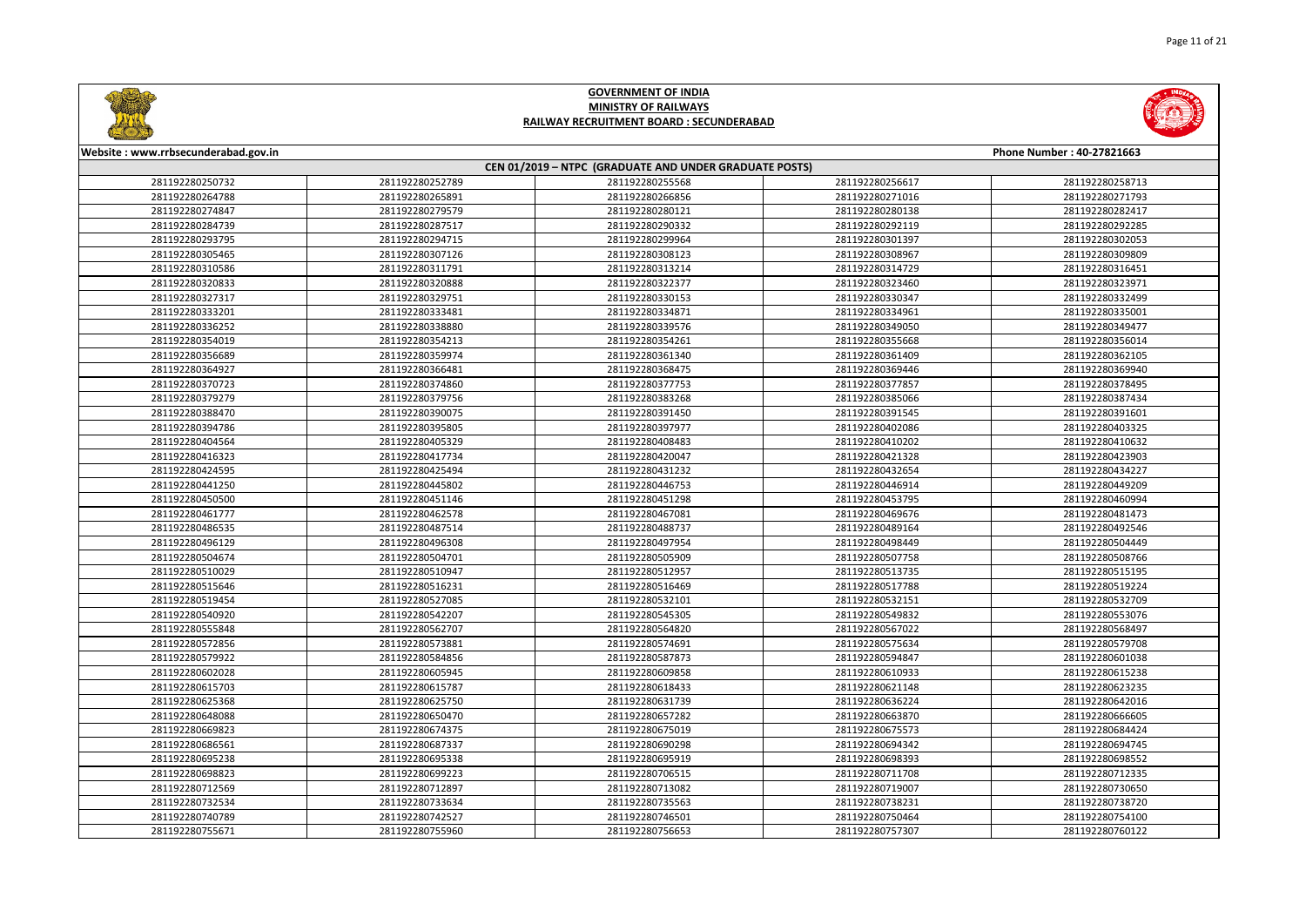



| Website: www.rrbsecunderabad.gov.in |                 |                                                        |                 | Phone Number: 40-27821663 |
|-------------------------------------|-----------------|--------------------------------------------------------|-----------------|---------------------------|
|                                     |                 | CEN 01/2019 - NTPC (GRADUATE AND UNDER GRADUATE POSTS) |                 |                           |
| 281192280250732                     | 281192280252789 | 281192280255568                                        | 281192280256617 | 281192280258713           |
| 281192280264788                     | 281192280265891 | 281192280266856                                        | 281192280271016 | 281192280271793           |
| 281192280274847                     | 281192280279579 | 281192280280121                                        | 281192280280138 | 281192280282417           |
| 281192280284739                     | 281192280287517 | 281192280290332                                        | 281192280292119 | 281192280292285           |
| 281192280293795                     | 281192280294715 | 281192280299964                                        | 281192280301397 | 281192280302053           |
| 281192280305465                     | 281192280307126 | 281192280308123                                        | 281192280308967 | 281192280309809           |
| 281192280310586                     | 281192280311791 | 281192280313214                                        | 281192280314729 | 281192280316451           |
| 281192280320833                     | 281192280320888 | 281192280322377                                        | 281192280323460 | 281192280323971           |
| 281192280327317                     | 281192280329751 | 281192280330153                                        | 281192280330347 | 281192280332499           |
| 281192280333201                     | 281192280333481 | 281192280334871                                        | 281192280334961 | 281192280335001           |
| 281192280336252                     | 281192280338880 | 281192280339576                                        | 281192280349050 | 281192280349477           |
| 281192280354019                     | 281192280354213 | 281192280354261                                        | 281192280355668 | 281192280356014           |
| 281192280356689                     | 281192280359974 | 281192280361340                                        | 281192280361409 | 281192280362105           |
| 281192280364927                     | 281192280366481 | 281192280368475                                        | 281192280369446 | 281192280369940           |
| 281192280370723                     | 281192280374860 | 281192280377753                                        | 281192280377857 | 281192280378495           |
| 281192280379279                     | 281192280379756 | 281192280383268                                        | 281192280385066 | 281192280387434           |
| 281192280388470                     | 281192280390075 | 281192280391450                                        | 281192280391545 | 281192280391601           |
| 281192280394786                     | 281192280395805 | 281192280397977                                        | 281192280402086 | 281192280403325           |
| 281192280404564                     | 281192280405329 | 281192280408483                                        | 281192280410202 | 281192280410632           |
| 281192280416323                     | 281192280417734 | 281192280420047                                        | 281192280421328 | 281192280423903           |
| 281192280424595                     | 281192280425494 | 281192280431232                                        | 281192280432654 | 281192280434227           |
| 281192280441250                     | 281192280445802 | 281192280446753                                        | 281192280446914 | 281192280449209           |
| 281192280450500                     | 281192280451146 | 281192280451298                                        | 281192280453795 | 281192280460994           |
| 281192280461777                     | 281192280462578 | 281192280467081                                        | 281192280469676 | 281192280481473           |
| 281192280486535                     | 281192280487514 | 281192280488737                                        | 281192280489164 | 281192280492546           |
| 281192280496129                     | 281192280496308 | 281192280497954                                        | 281192280498449 | 281192280504449           |
| 281192280504674                     | 281192280504701 | 281192280505909                                        | 281192280507758 | 281192280508766           |
| 281192280510029                     | 281192280510947 | 281192280512957                                        | 281192280513735 | 281192280515195           |
| 281192280515646                     | 281192280516231 | 281192280516469                                        | 281192280517788 | 281192280519224           |
| 281192280519454                     | 281192280527085 | 281192280532101                                        | 281192280532151 | 281192280532709           |
| 281192280540920                     | 281192280542207 | 281192280545305                                        | 281192280549832 | 281192280553076           |
| 281192280555848                     | 281192280562707 | 281192280564820                                        | 281192280567022 | 281192280568497           |
| 281192280572856                     | 281192280573881 | 281192280574691                                        | 281192280575634 | 281192280579708           |
| 281192280579922                     | 281192280584856 | 281192280587873                                        | 281192280594847 | 281192280601038           |
| 281192280602028                     | 281192280605945 | 281192280609858                                        | 281192280610933 | 281192280615238           |
| 281192280615703                     | 281192280615787 | 281192280618433                                        | 281192280621148 | 281192280623235           |
| 281192280625368                     | 281192280625750 | 281192280631739                                        | 281192280636224 | 281192280642016           |
| 281192280648088                     | 281192280650470 | 281192280657282                                        | 281192280663870 | 281192280666605           |
| 281192280669823                     | 281192280674375 | 281192280675019                                        | 281192280675573 | 281192280684424           |
| 281192280686561                     | 281192280687337 | 281192280690298                                        | 281192280694342 | 281192280694745           |
| 281192280695238                     | 281192280695338 | 281192280695919                                        | 281192280698393 | 281192280698552           |
| 281192280698823                     | 281192280699223 | 281192280706515                                        | 281192280711708 | 281192280712335           |
| 281192280712569                     | 281192280712897 | 281192280713082                                        | 281192280719007 | 281192280730650           |
| 281192280732534                     | 281192280733634 | 281192280735563                                        | 281192280738231 | 281192280738720           |
| 281192280740789                     | 281192280742527 | 281192280746501                                        | 281192280750464 | 281192280754100           |
| 281192280755671                     | 281192280755960 | 281192280756653                                        | 281192280757307 | 281192280760122           |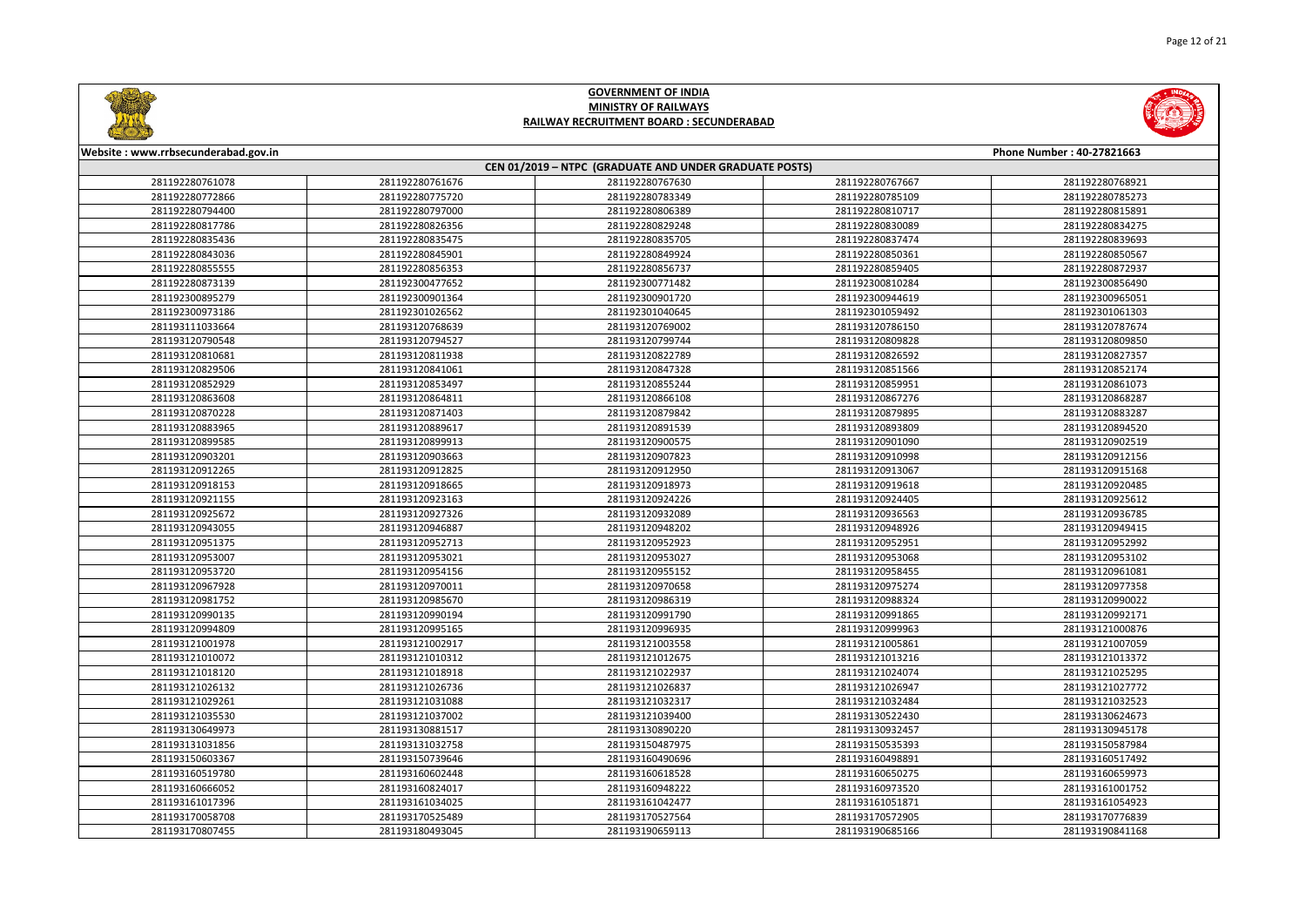



| Website: www.rrbsecunderabad.gov.in<br>Phone Number: 40-27821663 |                                                        |                 |                 |                 |  |  |
|------------------------------------------------------------------|--------------------------------------------------------|-----------------|-----------------|-----------------|--|--|
|                                                                  | CEN 01/2019 - NTPC (GRADUATE AND UNDER GRADUATE POSTS) |                 |                 |                 |  |  |
| 281192280761078                                                  | 281192280761676                                        | 281192280767630 | 281192280767667 | 281192280768921 |  |  |
| 281192280772866                                                  | 281192280775720                                        | 281192280783349 | 281192280785109 | 281192280785273 |  |  |
| 281192280794400                                                  | 281192280797000                                        | 281192280806389 | 281192280810717 | 281192280815891 |  |  |
| 281192280817786                                                  | 281192280826356                                        | 281192280829248 | 281192280830089 | 281192280834275 |  |  |
| 281192280835436                                                  | 281192280835475                                        | 281192280835705 | 281192280837474 | 281192280839693 |  |  |
| 281192280843036                                                  | 281192280845901                                        | 281192280849924 | 281192280850361 | 281192280850567 |  |  |
| 281192280855555                                                  | 281192280856353                                        | 281192280856737 | 281192280859405 | 281192280872937 |  |  |
| 281192280873139                                                  | 281192300477652                                        | 281192300771482 | 281192300810284 | 281192300856490 |  |  |
| 281192300895279                                                  | 281192300901364                                        | 281192300901720 | 281192300944619 | 281192300965051 |  |  |
| 281192300973186                                                  | 281192301026562                                        | 281192301040645 | 281192301059492 | 281192301061303 |  |  |
| 281193111033664                                                  | 281193120768639                                        | 281193120769002 | 281193120786150 | 281193120787674 |  |  |
| 281193120790548                                                  | 281193120794527                                        | 281193120799744 | 281193120809828 | 281193120809850 |  |  |
| 281193120810681                                                  | 281193120811938                                        | 281193120822789 | 281193120826592 | 281193120827357 |  |  |
| 281193120829506                                                  | 281193120841061                                        | 281193120847328 | 281193120851566 | 281193120852174 |  |  |
| 281193120852929                                                  | 281193120853497                                        | 281193120855244 | 281193120859951 | 281193120861073 |  |  |
| 281193120863608                                                  | 281193120864811                                        | 281193120866108 | 281193120867276 | 281193120868287 |  |  |
| 281193120870228                                                  | 281193120871403                                        | 281193120879842 | 281193120879895 | 281193120883287 |  |  |
| 281193120883965                                                  | 281193120889617                                        | 281193120891539 | 281193120893809 | 281193120894520 |  |  |
| 281193120899585                                                  | 281193120899913                                        | 281193120900575 | 281193120901090 | 281193120902519 |  |  |
| 281193120903201                                                  | 281193120903663                                        | 281193120907823 | 281193120910998 | 281193120912156 |  |  |
| 281193120912265                                                  | 281193120912825                                        | 281193120912950 | 281193120913067 | 281193120915168 |  |  |
| 281193120918153                                                  | 281193120918665                                        | 281193120918973 | 281193120919618 | 281193120920485 |  |  |
| 281193120921155                                                  | 281193120923163                                        | 281193120924226 | 281193120924405 | 281193120925612 |  |  |
| 281193120925672                                                  | 281193120927326                                        | 281193120932089 | 281193120936563 | 281193120936785 |  |  |
| 281193120943055                                                  | 281193120946887                                        | 281193120948202 | 281193120948926 | 281193120949415 |  |  |
| 281193120951375                                                  | 281193120952713                                        | 281193120952923 | 281193120952951 | 281193120952992 |  |  |
| 281193120953007                                                  | 281193120953021                                        | 281193120953027 | 281193120953068 | 281193120953102 |  |  |
| 281193120953720                                                  | 281193120954156                                        | 281193120955152 | 281193120958455 | 281193120961081 |  |  |
| 281193120967928                                                  | 281193120970011                                        | 281193120970658 | 281193120975274 | 281193120977358 |  |  |
| 281193120981752                                                  | 281193120985670                                        | 281193120986319 | 281193120988324 | 281193120990022 |  |  |
| 281193120990135                                                  | 281193120990194                                        | 281193120991790 | 281193120991865 | 281193120992171 |  |  |
| 281193120994809                                                  | 281193120995165                                        | 281193120996935 | 281193120999963 | 281193121000876 |  |  |
| 281193121001978                                                  | 281193121002917                                        | 281193121003558 | 281193121005861 | 281193121007059 |  |  |
| 281193121010072                                                  | 281193121010312                                        | 281193121012675 | 281193121013216 | 281193121013372 |  |  |
| 281193121018120                                                  | 281193121018918                                        | 281193121022937 | 281193121024074 | 281193121025295 |  |  |
| 281193121026132                                                  | 281193121026736                                        | 281193121026837 | 281193121026947 | 281193121027772 |  |  |
| 281193121029261                                                  | 281193121031088                                        | 281193121032317 | 281193121032484 | 281193121032523 |  |  |
| 281193121035530                                                  | 281193121037002                                        | 281193121039400 | 281193130522430 | 281193130624673 |  |  |
| 281193130649973                                                  | 281193130881517                                        | 281193130890220 | 281193130932457 | 281193130945178 |  |  |
| 281193131031856                                                  | 281193131032758                                        | 281193150487975 | 281193150535393 | 281193150587984 |  |  |
| 281193150603367                                                  | 281193150739646                                        | 281193160490696 | 281193160498891 | 281193160517492 |  |  |
| 281193160519780                                                  | 281193160602448                                        | 281193160618528 | 281193160650275 | 281193160659973 |  |  |
| 281193160666052                                                  | 281193160824017                                        | 281193160948222 | 281193160973520 | 281193161001752 |  |  |
| 281193161017396                                                  | 281193161034025                                        | 281193161042477 | 281193161051871 | 281193161054923 |  |  |
| 281193170058708                                                  | 281193170525489                                        | 281193170527564 | 281193170572905 | 281193170776839 |  |  |
| 281193170807455                                                  | 281193180493045                                        | 281193190659113 | 281193190685166 | 281193190841168 |  |  |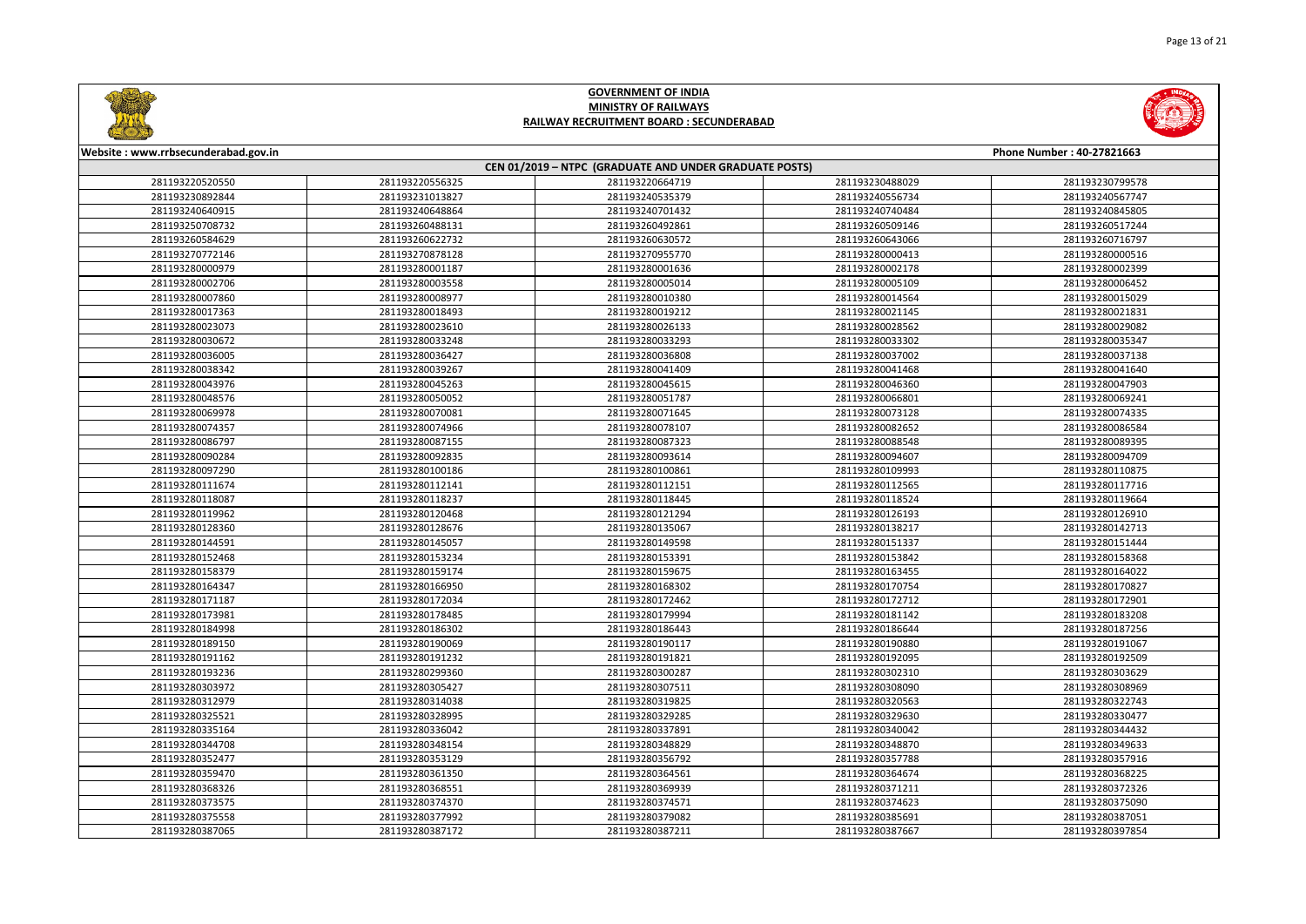



| Website: www.rrbsecunderabad.gov.in<br>Phone Number: 40-27821663 |                 |                 |                 |                 |  |
|------------------------------------------------------------------|-----------------|-----------------|-----------------|-----------------|--|
| CEN 01/2019 - NTPC (GRADUATE AND UNDER GRADUATE POSTS)           |                 |                 |                 |                 |  |
| 281193220520550                                                  | 281193220556325 | 281193220664719 | 281193230488029 | 281193230799578 |  |
| 281193230892844                                                  | 281193231013827 | 281193240535379 | 281193240556734 | 281193240567747 |  |
| 281193240640915                                                  | 281193240648864 | 281193240701432 | 281193240740484 | 281193240845805 |  |
| 281193250708732                                                  | 281193260488131 | 281193260492861 | 281193260509146 | 281193260517244 |  |
| 281193260584629                                                  | 281193260622732 | 281193260630572 | 281193260643066 | 281193260716797 |  |
| 281193270772146                                                  | 281193270878128 | 281193270955770 | 281193280000413 | 281193280000516 |  |
| 281193280000979                                                  | 281193280001187 | 281193280001636 | 281193280002178 | 281193280002399 |  |
| 281193280002706                                                  | 281193280003558 | 281193280005014 | 281193280005109 | 281193280006452 |  |
| 281193280007860                                                  | 281193280008977 | 281193280010380 | 281193280014564 | 281193280015029 |  |
| 281193280017363                                                  | 281193280018493 | 281193280019212 | 281193280021145 | 281193280021831 |  |
| 281193280023073                                                  | 281193280023610 | 281193280026133 | 281193280028562 | 281193280029082 |  |
| 281193280030672                                                  | 281193280033248 | 281193280033293 | 281193280033302 | 281193280035347 |  |
| 281193280036005                                                  | 281193280036427 | 281193280036808 | 281193280037002 | 281193280037138 |  |
| 281193280038342                                                  | 281193280039267 | 281193280041409 | 281193280041468 | 281193280041640 |  |
| 281193280043976                                                  | 281193280045263 | 281193280045615 | 281193280046360 | 281193280047903 |  |
| 281193280048576                                                  | 281193280050052 | 281193280051787 | 281193280066801 | 281193280069241 |  |
| 281193280069978                                                  | 281193280070081 | 281193280071645 | 281193280073128 | 281193280074335 |  |
| 281193280074357                                                  | 281193280074966 | 281193280078107 | 281193280082652 | 281193280086584 |  |
| 281193280086797                                                  | 281193280087155 | 281193280087323 | 281193280088548 | 281193280089395 |  |
| 281193280090284                                                  | 281193280092835 | 281193280093614 | 281193280094607 | 281193280094709 |  |
| 281193280097290                                                  | 281193280100186 | 281193280100861 | 281193280109993 | 281193280110875 |  |
| 281193280111674                                                  | 281193280112141 | 281193280112151 | 281193280112565 | 281193280117716 |  |
| 281193280118087                                                  | 281193280118237 | 281193280118445 | 281193280118524 | 281193280119664 |  |
| 281193280119962                                                  | 281193280120468 | 281193280121294 | 281193280126193 | 281193280126910 |  |
| 281193280128360                                                  | 281193280128676 | 281193280135067 | 281193280138217 | 281193280142713 |  |
| 281193280144591                                                  | 281193280145057 | 281193280149598 | 281193280151337 | 281193280151444 |  |
| 281193280152468                                                  | 281193280153234 | 281193280153391 | 281193280153842 | 281193280158368 |  |
| 281193280158379                                                  | 281193280159174 | 281193280159675 | 281193280163455 | 281193280164022 |  |
| 281193280164347                                                  | 281193280166950 | 281193280168302 | 281193280170754 | 281193280170827 |  |
| 281193280171187                                                  | 281193280172034 | 281193280172462 | 281193280172712 | 281193280172901 |  |
| 281193280173981                                                  | 281193280178485 | 281193280179994 | 281193280181142 | 281193280183208 |  |
| 281193280184998                                                  | 281193280186302 | 281193280186443 | 281193280186644 | 281193280187256 |  |
| 281193280189150                                                  | 281193280190069 | 281193280190117 | 281193280190880 | 281193280191067 |  |
| 281193280191162                                                  | 281193280191232 | 281193280191821 | 281193280192095 | 281193280192509 |  |
| 281193280193236                                                  | 281193280299360 | 281193280300287 | 281193280302310 | 281193280303629 |  |
| 281193280303972                                                  | 281193280305427 | 281193280307511 | 281193280308090 | 281193280308969 |  |
| 281193280312979                                                  | 281193280314038 | 281193280319825 | 281193280320563 | 281193280322743 |  |
| 281193280325521                                                  | 281193280328995 | 281193280329285 | 281193280329630 | 281193280330477 |  |
| 281193280335164                                                  | 281193280336042 | 281193280337891 | 281193280340042 | 281193280344432 |  |
| 281193280344708                                                  | 281193280348154 | 281193280348829 | 281193280348870 | 281193280349633 |  |
| 281193280352477                                                  | 281193280353129 | 281193280356792 | 281193280357788 | 281193280357916 |  |
| 281193280359470                                                  | 281193280361350 | 281193280364561 | 281193280364674 | 281193280368225 |  |
| 281193280368326                                                  | 281193280368551 | 281193280369939 | 281193280371211 | 281193280372326 |  |
| 281193280373575                                                  | 281193280374370 | 281193280374571 | 281193280374623 | 281193280375090 |  |
| 281193280375558                                                  | 281193280377992 | 281193280379082 | 281193280385691 | 281193280387051 |  |
| 281193280387065                                                  | 281193280387172 | 281193280387211 | 281193280387667 | 281193280397854 |  |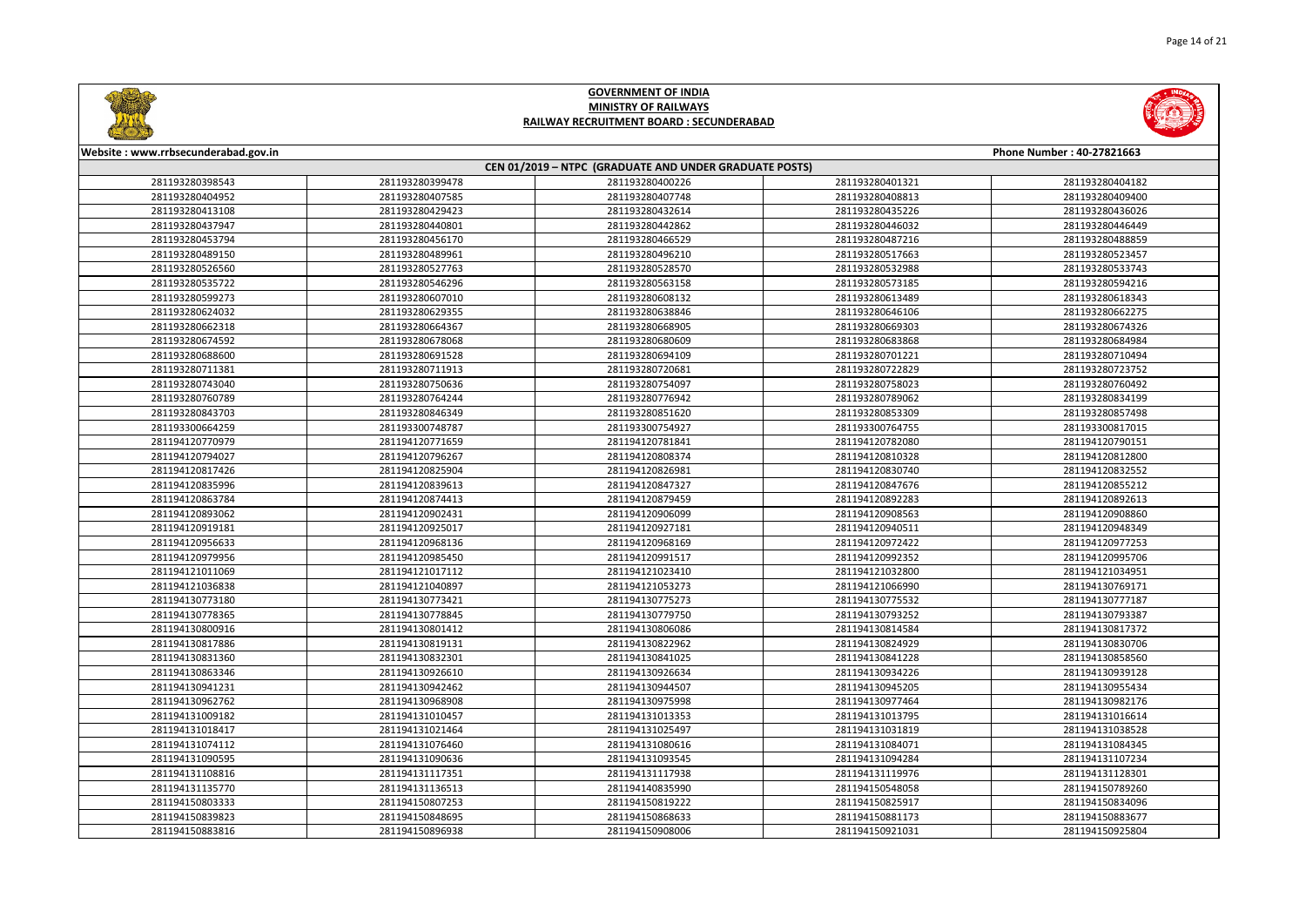



| Website: www.rrbsecunderabad.gov.in                    |                 |                 |                 | Phone Number: 40-27821663 |
|--------------------------------------------------------|-----------------|-----------------|-----------------|---------------------------|
| CEN 01/2019 - NTPC (GRADUATE AND UNDER GRADUATE POSTS) |                 |                 |                 |                           |
| 281193280398543                                        | 281193280399478 | 281193280400226 | 281193280401321 | 281193280404182           |
| 281193280404952                                        | 281193280407585 | 281193280407748 | 281193280408813 | 281193280409400           |
| 281193280413108                                        | 281193280429423 | 281193280432614 | 281193280435226 | 281193280436026           |
| 281193280437947                                        | 281193280440801 | 281193280442862 | 281193280446032 | 281193280446449           |
| 281193280453794                                        | 281193280456170 | 281193280466529 | 281193280487216 | 281193280488859           |
| 281193280489150                                        | 281193280489961 | 281193280496210 | 281193280517663 | 281193280523457           |
| 281193280526560                                        | 281193280527763 | 281193280528570 | 281193280532988 | 281193280533743           |
| 281193280535722                                        | 281193280546296 | 281193280563158 | 281193280573185 | 281193280594216           |
| 281193280599273                                        | 281193280607010 | 281193280608132 | 281193280613489 | 281193280618343           |
| 281193280624032                                        | 281193280629355 | 281193280638846 | 281193280646106 | 281193280662275           |
| 281193280662318                                        | 281193280664367 | 281193280668905 | 281193280669303 | 281193280674326           |
| 281193280674592                                        | 281193280678068 | 281193280680609 | 281193280683868 | 281193280684984           |
| 281193280688600                                        | 281193280691528 | 281193280694109 | 281193280701221 | 281193280710494           |
| 281193280711381                                        | 281193280711913 | 281193280720681 | 281193280722829 | 281193280723752           |
| 281193280743040                                        | 281193280750636 | 281193280754097 | 281193280758023 | 281193280760492           |
| 281193280760789                                        | 281193280764244 | 281193280776942 | 281193280789062 | 281193280834199           |
| 281193280843703                                        | 281193280846349 | 281193280851620 | 281193280853309 | 281193280857498           |
| 281193300664259                                        | 281193300748787 | 281193300754927 | 281193300764755 | 281193300817015           |
| 281194120770979                                        | 281194120771659 | 281194120781841 | 281194120782080 | 281194120790151           |
| 281194120794027                                        | 281194120796267 | 281194120808374 | 281194120810328 | 281194120812800           |
| 281194120817426                                        | 281194120825904 | 281194120826981 | 281194120830740 | 281194120832552           |
| 281194120835996                                        | 281194120839613 | 281194120847327 | 281194120847676 | 281194120855212           |
| 281194120863784                                        | 281194120874413 | 281194120879459 | 281194120892283 | 281194120892613           |
| 281194120893062                                        | 281194120902431 | 281194120906099 | 281194120908563 | 281194120908860           |
| 281194120919181                                        | 281194120925017 | 281194120927181 | 281194120940511 | 281194120948349           |
| 281194120956633                                        | 281194120968136 | 281194120968169 | 281194120972422 | 281194120977253           |
| 281194120979956                                        | 281194120985450 | 281194120991517 | 281194120992352 | 281194120995706           |
| 281194121011069                                        | 281194121017112 | 281194121023410 | 281194121032800 | 281194121034951           |
| 281194121036838                                        | 281194121040897 | 281194121053273 | 281194121066990 | 281194130769171           |
| 281194130773180                                        | 281194130773421 | 281194130775273 | 281194130775532 | 281194130777187           |
| 281194130778365                                        | 281194130778845 | 281194130779750 | 281194130793252 | 281194130793387           |
| 281194130800916                                        | 281194130801412 | 281194130806086 | 281194130814584 | 281194130817372           |
| 281194130817886                                        | 281194130819131 | 281194130822962 | 281194130824929 | 281194130830706           |
| 281194130831360                                        | 281194130832301 | 281194130841025 | 281194130841228 | 281194130858560           |
| 281194130863346                                        | 281194130926610 | 281194130926634 | 281194130934226 | 281194130939128           |
| 281194130941231                                        | 281194130942462 | 281194130944507 | 281194130945205 | 281194130955434           |
| 281194130962762                                        | 281194130968908 | 281194130975998 | 281194130977464 | 281194130982176           |
| 281194131009182                                        | 281194131010457 | 281194131013353 | 281194131013795 | 281194131016614           |
| 281194131018417                                        | 281194131021464 | 281194131025497 | 281194131031819 | 281194131038528           |
| 281194131074112                                        | 281194131076460 | 281194131080616 | 281194131084071 | 281194131084345           |
| 281194131090595                                        | 281194131090636 | 281194131093545 | 281194131094284 | 281194131107234           |
| 281194131108816                                        | 281194131117351 | 281194131117938 | 281194131119976 | 281194131128301           |
| 281194131135770                                        | 281194131136513 | 281194140835990 | 281194150548058 | 281194150789260           |
| 281194150803333                                        | 281194150807253 | 281194150819222 | 281194150825917 | 281194150834096           |
| 281194150839823                                        | 281194150848695 | 281194150868633 | 281194150881173 | 281194150883677           |
| 281194150883816                                        | 281194150896938 | 281194150908006 | 281194150921031 | 281194150925804           |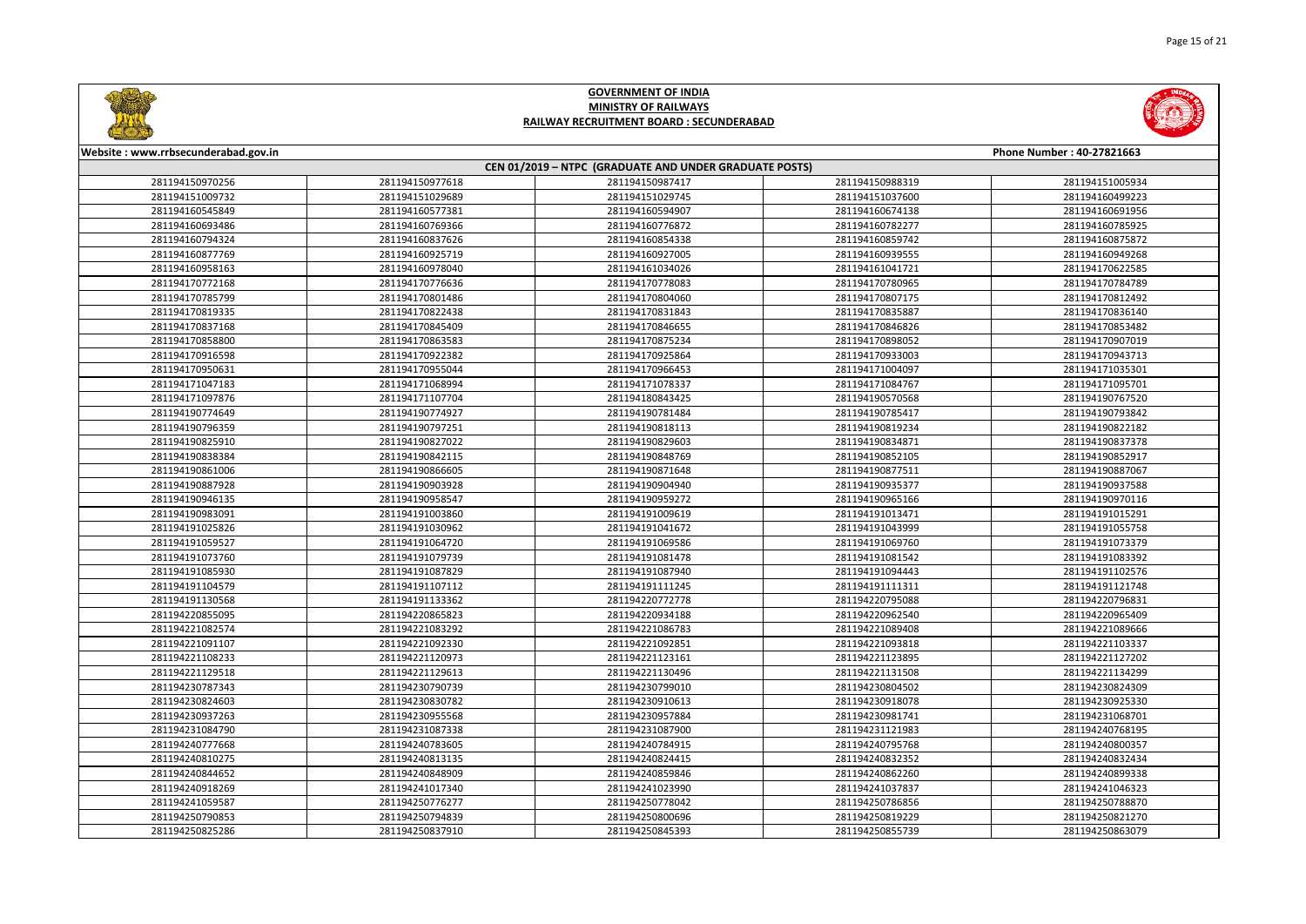



| Website: www.rrbsecunderabad.gov.in<br>Phone Number: 40-27821663 |                 |                 |                 |                 |
|------------------------------------------------------------------|-----------------|-----------------|-----------------|-----------------|
| CEN 01/2019 - NTPC (GRADUATE AND UNDER GRADUATE POSTS)           |                 |                 |                 |                 |
| 281194150970256                                                  | 281194150977618 | 281194150987417 | 281194150988319 | 281194151005934 |
| 281194151009732                                                  | 281194151029689 | 281194151029745 | 281194151037600 | 281194160499223 |
| 281194160545849                                                  | 281194160577381 | 281194160594907 | 281194160674138 | 281194160691956 |
| 281194160693486                                                  | 281194160769366 | 281194160776872 | 281194160782277 | 281194160785925 |
| 281194160794324                                                  | 281194160837626 | 281194160854338 | 281194160859742 | 281194160875872 |
| 281194160877769                                                  | 281194160925719 | 281194160927005 | 281194160939555 | 281194160949268 |
| 281194160958163                                                  | 281194160978040 | 281194161034026 | 281194161041721 | 281194170622585 |
| 281194170772168                                                  | 281194170776636 | 281194170778083 | 281194170780965 | 281194170784789 |
| 281194170785799                                                  | 281194170801486 | 281194170804060 | 281194170807175 | 281194170812492 |
| 281194170819335                                                  | 281194170822438 | 281194170831843 | 281194170835887 | 281194170836140 |
| 281194170837168                                                  | 281194170845409 | 281194170846655 | 281194170846826 | 281194170853482 |
| 281194170858800                                                  | 281194170863583 | 281194170875234 | 281194170898052 | 281194170907019 |
| 281194170916598                                                  | 281194170922382 | 281194170925864 | 281194170933003 | 281194170943713 |
| 281194170950631                                                  | 281194170955044 | 281194170966453 | 281194171004097 | 281194171035301 |
| 281194171047183                                                  | 281194171068994 | 281194171078337 | 281194171084767 | 281194171095701 |
| 281194171097876                                                  | 281194171107704 | 281194180843425 | 281194190570568 | 281194190767520 |
| 281194190774649                                                  | 281194190774927 | 281194190781484 | 281194190785417 | 281194190793842 |
| 281194190796359                                                  | 281194190797251 | 281194190818113 | 281194190819234 | 281194190822182 |
| 281194190825910                                                  | 281194190827022 | 281194190829603 | 281194190834871 | 281194190837378 |
| 281194190838384                                                  | 281194190842115 | 281194190848769 | 281194190852105 | 281194190852917 |
| 281194190861006                                                  | 281194190866605 | 281194190871648 | 281194190877511 | 281194190887067 |
| 281194190887928                                                  | 281194190903928 | 281194190904940 | 281194190935377 | 281194190937588 |
| 281194190946135                                                  | 281194190958547 | 281194190959272 | 281194190965166 | 281194190970116 |
| 281194190983091                                                  | 281194191003860 | 281194191009619 | 281194191013471 | 281194191015291 |
| 281194191025826                                                  | 281194191030962 | 281194191041672 | 281194191043999 | 281194191055758 |
| 281194191059527                                                  | 281194191064720 | 281194191069586 | 281194191069760 | 281194191073379 |
| 281194191073760                                                  | 281194191079739 | 281194191081478 | 281194191081542 | 281194191083392 |
| 281194191085930                                                  | 281194191087829 | 281194191087940 | 281194191094443 | 281194191102576 |
| 281194191104579                                                  | 281194191107112 | 281194191111245 | 281194191111311 | 281194191121748 |
| 281194191130568                                                  | 281194191133362 | 281194220772778 | 281194220795088 | 281194220796831 |
| 281194220855095                                                  | 281194220865823 | 281194220934188 | 281194220962540 | 281194220965409 |
| 281194221082574                                                  | 281194221083292 | 281194221086783 | 281194221089408 | 281194221089666 |
| 281194221091107                                                  | 281194221092330 | 281194221092851 | 281194221093818 | 281194221103337 |
| 281194221108233                                                  | 281194221120973 | 281194221123161 | 281194221123895 | 281194221127202 |
| 281194221129518                                                  | 281194221129613 | 281194221130496 | 281194221131508 | 281194221134299 |
| 281194230787343                                                  | 281194230790739 | 281194230799010 | 281194230804502 | 281194230824309 |
| 281194230824603                                                  | 281194230830782 | 281194230910613 | 281194230918078 | 281194230925330 |
| 281194230937263                                                  | 281194230955568 | 281194230957884 | 281194230981741 | 281194231068701 |
| 281194231084790                                                  | 281194231087338 | 281194231087900 | 281194231121983 | 281194240768195 |
| 281194240777668                                                  | 281194240783605 | 281194240784915 | 281194240795768 | 281194240800357 |
| 281194240810275                                                  | 281194240813135 | 281194240824415 | 281194240832352 | 281194240832434 |
| 281194240844652                                                  | 281194240848909 | 281194240859846 | 281194240862260 | 281194240899338 |
| 281194240918269                                                  | 281194241017340 | 281194241023990 | 281194241037837 | 281194241046323 |
| 281194241059587                                                  | 281194250776277 | 281194250778042 | 281194250786856 | 281194250788870 |
| 281194250790853                                                  | 281194250794839 | 281194250800696 | 281194250819229 | 281194250821270 |
| 281194250825286                                                  | 281194250837910 | 281194250845393 | 281194250855739 | 281194250863079 |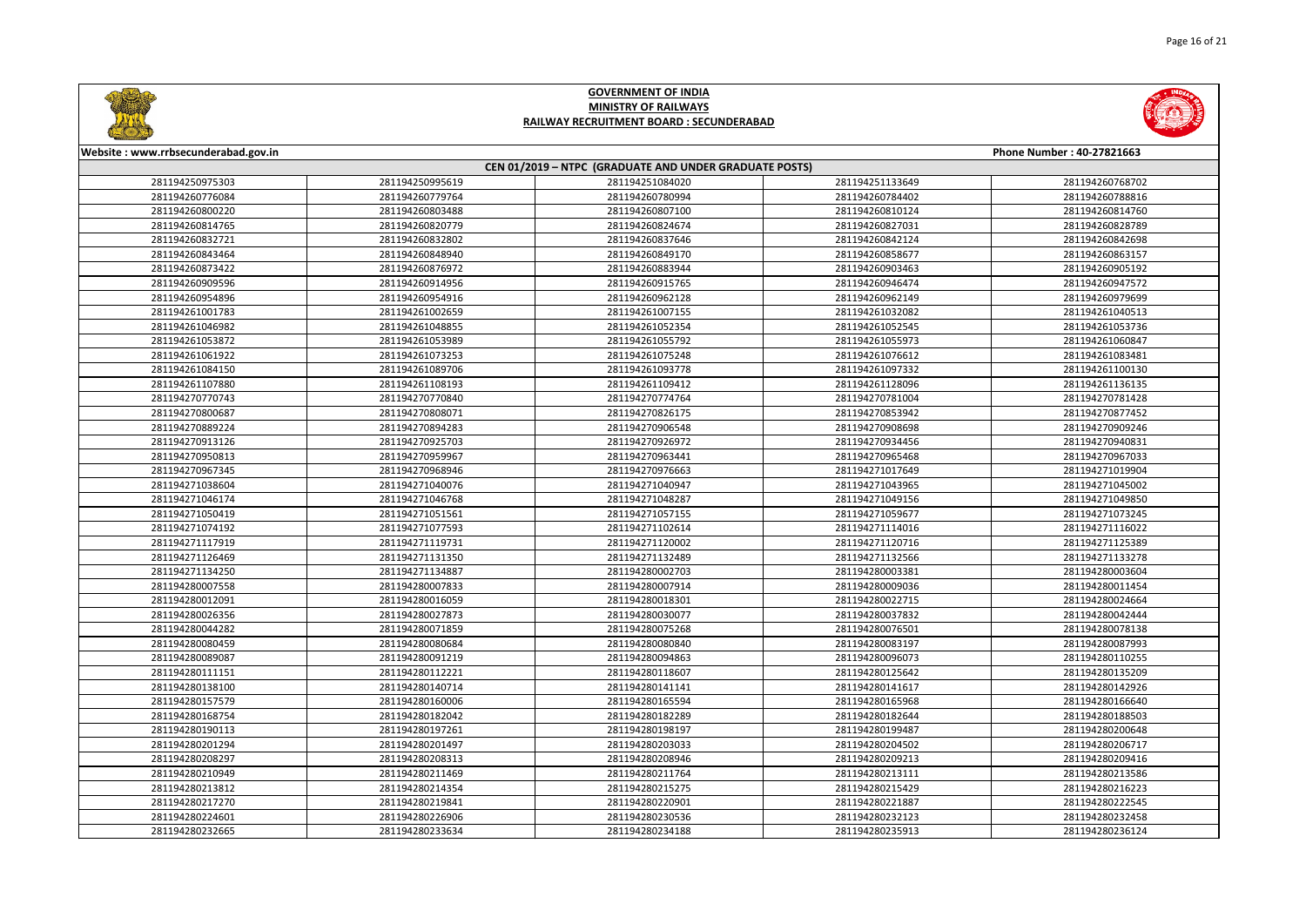



| Website: www.rrbsecunderabad.gov.in<br>Phone Number: 40-27821663 |                 |                                                        |                 |                 |
|------------------------------------------------------------------|-----------------|--------------------------------------------------------|-----------------|-----------------|
|                                                                  |                 | CEN 01/2019 - NTPC (GRADUATE AND UNDER GRADUATE POSTS) |                 |                 |
| 281194250975303                                                  | 281194250995619 | 281194251084020                                        | 281194251133649 | 281194260768702 |
| 281194260776084                                                  | 281194260779764 | 281194260780994                                        | 281194260784402 | 281194260788816 |
| 281194260800220                                                  | 281194260803488 | 281194260807100                                        | 281194260810124 | 281194260814760 |
| 281194260814765                                                  | 281194260820779 | 281194260824674                                        | 281194260827031 | 281194260828789 |
| 281194260832721                                                  | 281194260832802 | 281194260837646                                        | 281194260842124 | 281194260842698 |
| 281194260843464                                                  | 281194260848940 | 281194260849170                                        | 281194260858677 | 281194260863157 |
| 281194260873422                                                  | 281194260876972 | 281194260883944                                        | 281194260903463 | 281194260905192 |
| 281194260909596                                                  | 281194260914956 | 281194260915765                                        | 281194260946474 | 281194260947572 |
| 281194260954896                                                  | 281194260954916 | 281194260962128                                        | 281194260962149 | 281194260979699 |
| 281194261001783                                                  | 281194261002659 | 281194261007155                                        | 281194261032082 | 281194261040513 |
| 281194261046982                                                  | 281194261048855 | 281194261052354                                        | 281194261052545 | 281194261053736 |
| 281194261053872                                                  | 281194261053989 | 281194261055792                                        | 281194261055973 | 281194261060847 |
| 281194261061922                                                  | 281194261073253 | 281194261075248                                        | 281194261076612 | 281194261083481 |
| 281194261084150                                                  | 281194261089706 | 281194261093778                                        | 281194261097332 | 281194261100130 |
| 281194261107880                                                  | 281194261108193 | 281194261109412                                        | 281194261128096 | 281194261136135 |
| 281194270770743                                                  | 281194270770840 | 281194270774764                                        | 281194270781004 | 281194270781428 |
| 281194270800687                                                  | 281194270808071 | 281194270826175                                        | 281194270853942 | 281194270877452 |
| 281194270889224                                                  | 281194270894283 | 281194270906548                                        | 281194270908698 | 281194270909246 |
| 281194270913126                                                  | 281194270925703 | 281194270926972                                        | 281194270934456 | 281194270940831 |
| 281194270950813                                                  | 281194270959967 | 281194270963441                                        | 281194270965468 | 281194270967033 |
| 281194270967345                                                  | 281194270968946 | 281194270976663                                        | 281194271017649 | 281194271019904 |
| 281194271038604                                                  | 281194271040076 | 281194271040947                                        | 281194271043965 | 281194271045002 |
| 281194271046174                                                  | 281194271046768 | 281194271048287                                        | 281194271049156 | 281194271049850 |
| 281194271050419                                                  | 281194271051561 | 281194271057155                                        | 281194271059677 | 281194271073245 |
| 281194271074192                                                  | 281194271077593 | 281194271102614                                        | 281194271114016 | 281194271116022 |
| 281194271117919                                                  | 281194271119731 | 281194271120002                                        | 281194271120716 | 281194271125389 |
| 281194271126469                                                  | 281194271131350 | 281194271132489                                        | 281194271132566 | 281194271133278 |
| 281194271134250                                                  | 281194271134887 | 281194280002703                                        | 281194280003381 | 281194280003604 |
| 281194280007558                                                  | 281194280007833 | 281194280007914                                        | 281194280009036 | 281194280011454 |
| 281194280012091                                                  | 281194280016059 | 281194280018301                                        | 281194280022715 | 281194280024664 |
| 281194280026356                                                  | 281194280027873 | 281194280030077                                        | 281194280037832 | 281194280042444 |
| 281194280044282                                                  | 281194280071859 | 281194280075268                                        | 281194280076501 | 281194280078138 |
| 281194280080459                                                  | 281194280080684 | 281194280080840                                        | 281194280083197 | 281194280087993 |
| 281194280089087                                                  | 281194280091219 | 281194280094863                                        | 281194280096073 | 281194280110255 |
| 281194280111151                                                  | 281194280112221 | 281194280118607                                        | 281194280125642 | 281194280135209 |
| 281194280138100                                                  | 281194280140714 | 281194280141141                                        | 281194280141617 | 281194280142926 |
| 281194280157579                                                  | 281194280160006 | 281194280165594                                        | 281194280165968 | 281194280166640 |
| 281194280168754                                                  | 281194280182042 | 281194280182289                                        | 281194280182644 | 281194280188503 |
| 281194280190113                                                  | 281194280197261 | 281194280198197                                        | 281194280199487 | 281194280200648 |
| 281194280201294                                                  | 281194280201497 | 281194280203033                                        | 281194280204502 | 281194280206717 |
| 281194280208297                                                  | 281194280208313 | 281194280208946                                        | 281194280209213 | 281194280209416 |
| 281194280210949                                                  | 281194280211469 | 281194280211764                                        | 281194280213111 | 281194280213586 |
| 281194280213812                                                  | 281194280214354 | 281194280215275                                        | 281194280215429 | 281194280216223 |
| 281194280217270                                                  | 281194280219841 | 281194280220901                                        | 281194280221887 | 281194280222545 |
| 281194280224601                                                  | 281194280226906 | 281194280230536                                        | 281194280232123 | 281194280232458 |
| 281194280232665                                                  | 281194280233634 | 281194280234188                                        | 281194280235913 | 281194280236124 |
|                                                                  |                 |                                                        |                 |                 |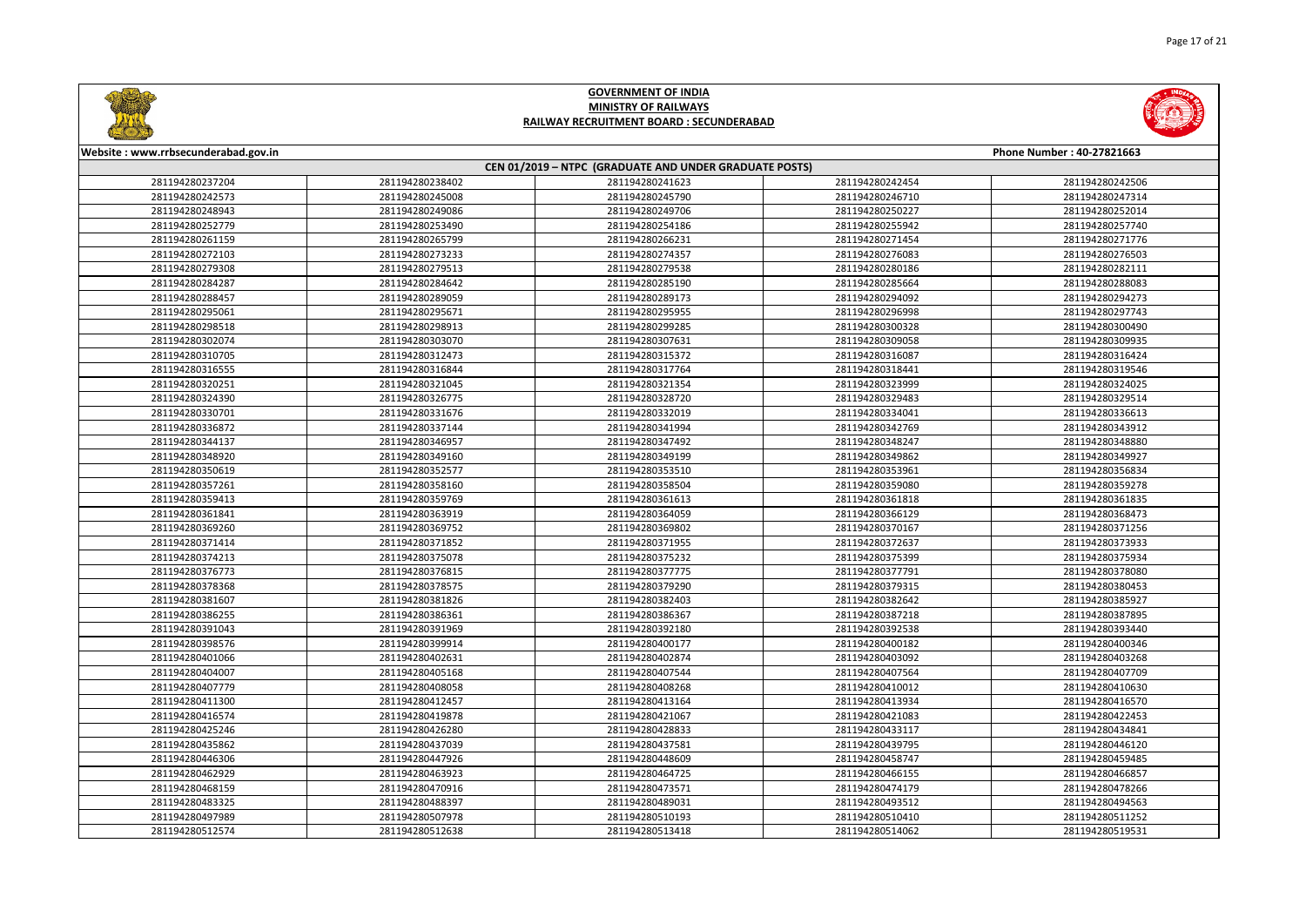



| Website: www.rrbsecunderabad.gov.in<br>Phone Number: 40-27821663 |                 |                 |                 |                 |  |
|------------------------------------------------------------------|-----------------|-----------------|-----------------|-----------------|--|
| CEN 01/2019 - NTPC (GRADUATE AND UNDER GRADUATE POSTS)           |                 |                 |                 |                 |  |
| 281194280237204                                                  | 281194280238402 | 281194280241623 | 281194280242454 | 281194280242506 |  |
| 281194280242573                                                  | 281194280245008 | 281194280245790 | 281194280246710 | 281194280247314 |  |
| 281194280248943                                                  | 281194280249086 | 281194280249706 | 281194280250227 | 281194280252014 |  |
| 281194280252779                                                  | 281194280253490 | 281194280254186 | 281194280255942 | 281194280257740 |  |
| 281194280261159                                                  | 281194280265799 | 281194280266231 | 281194280271454 | 281194280271776 |  |
| 281194280272103                                                  | 281194280273233 | 281194280274357 | 281194280276083 | 281194280276503 |  |
| 281194280279308                                                  | 281194280279513 | 281194280279538 | 281194280280186 | 281194280282111 |  |
| 281194280284287                                                  | 281194280284642 | 281194280285190 | 281194280285664 | 281194280288083 |  |
| 281194280288457                                                  | 281194280289059 | 281194280289173 | 281194280294092 | 281194280294273 |  |
| 281194280295061                                                  | 281194280295671 | 281194280295955 | 281194280296998 | 281194280297743 |  |
| 281194280298518                                                  | 281194280298913 | 281194280299285 | 281194280300328 | 281194280300490 |  |
| 281194280302074                                                  | 281194280303070 | 281194280307631 | 281194280309058 | 281194280309935 |  |
| 281194280310705                                                  | 281194280312473 | 281194280315372 | 281194280316087 | 281194280316424 |  |
| 281194280316555                                                  | 281194280316844 | 281194280317764 | 281194280318441 | 281194280319546 |  |
| 281194280320251                                                  | 281194280321045 | 281194280321354 | 281194280323999 | 281194280324025 |  |
| 281194280324390                                                  | 281194280326775 | 281194280328720 | 281194280329483 | 281194280329514 |  |
| 281194280330701                                                  | 281194280331676 | 281194280332019 | 281194280334041 | 281194280336613 |  |
| 281194280336872                                                  | 281194280337144 | 281194280341994 | 281194280342769 | 281194280343912 |  |
| 281194280344137                                                  | 281194280346957 | 281194280347492 | 281194280348247 | 281194280348880 |  |
| 281194280348920                                                  | 281194280349160 | 281194280349199 | 281194280349862 | 281194280349927 |  |
| 281194280350619                                                  | 281194280352577 | 281194280353510 | 281194280353961 | 281194280356834 |  |
| 281194280357261                                                  | 281194280358160 | 281194280358504 | 281194280359080 | 281194280359278 |  |
| 281194280359413                                                  | 281194280359769 | 281194280361613 | 281194280361818 | 281194280361835 |  |
| 281194280361841                                                  | 281194280363919 | 281194280364059 | 281194280366129 | 281194280368473 |  |
| 281194280369260                                                  | 281194280369752 | 281194280369802 | 281194280370167 | 281194280371256 |  |
| 281194280371414                                                  | 281194280371852 | 281194280371955 | 281194280372637 | 281194280373933 |  |
| 281194280374213                                                  | 281194280375078 | 281194280375232 | 281194280375399 | 281194280375934 |  |
| 281194280376773                                                  | 281194280376815 | 281194280377775 | 281194280377791 | 281194280378080 |  |
| 281194280378368                                                  | 281194280378575 | 281194280379290 | 281194280379315 | 281194280380453 |  |
| 281194280381607                                                  | 281194280381826 | 281194280382403 | 281194280382642 | 281194280385927 |  |
| 281194280386255                                                  | 281194280386361 | 281194280386367 | 281194280387218 | 281194280387895 |  |
| 281194280391043                                                  | 281194280391969 | 281194280392180 | 281194280392538 | 281194280393440 |  |
| 281194280398576                                                  | 281194280399914 | 281194280400177 | 281194280400182 | 281194280400346 |  |
| 281194280401066                                                  | 281194280402631 | 281194280402874 | 281194280403092 | 281194280403268 |  |
| 281194280404007                                                  | 281194280405168 | 281194280407544 | 281194280407564 | 281194280407709 |  |
| 281194280407779                                                  | 281194280408058 | 281194280408268 | 281194280410012 | 281194280410630 |  |
| 281194280411300                                                  | 281194280412457 | 281194280413164 | 281194280413934 | 281194280416570 |  |
| 281194280416574                                                  | 281194280419878 | 281194280421067 | 281194280421083 | 281194280422453 |  |
| 281194280425246                                                  | 281194280426280 | 281194280428833 | 281194280433117 | 281194280434841 |  |
| 281194280435862                                                  | 281194280437039 | 281194280437581 | 281194280439795 | 281194280446120 |  |
| 281194280446306                                                  | 281194280447926 | 281194280448609 | 281194280458747 | 281194280459485 |  |
| 281194280462929                                                  | 281194280463923 | 281194280464725 | 281194280466155 | 281194280466857 |  |
| 281194280468159                                                  | 281194280470916 | 281194280473571 | 281194280474179 | 281194280478266 |  |
| 281194280483325                                                  | 281194280488397 | 281194280489031 | 281194280493512 | 281194280494563 |  |
| 281194280497989                                                  | 281194280507978 | 281194280510193 | 281194280510410 | 281194280511252 |  |
| 281194280512574                                                  | 281194280512638 | 281194280513418 | 281194280514062 | 281194280519531 |  |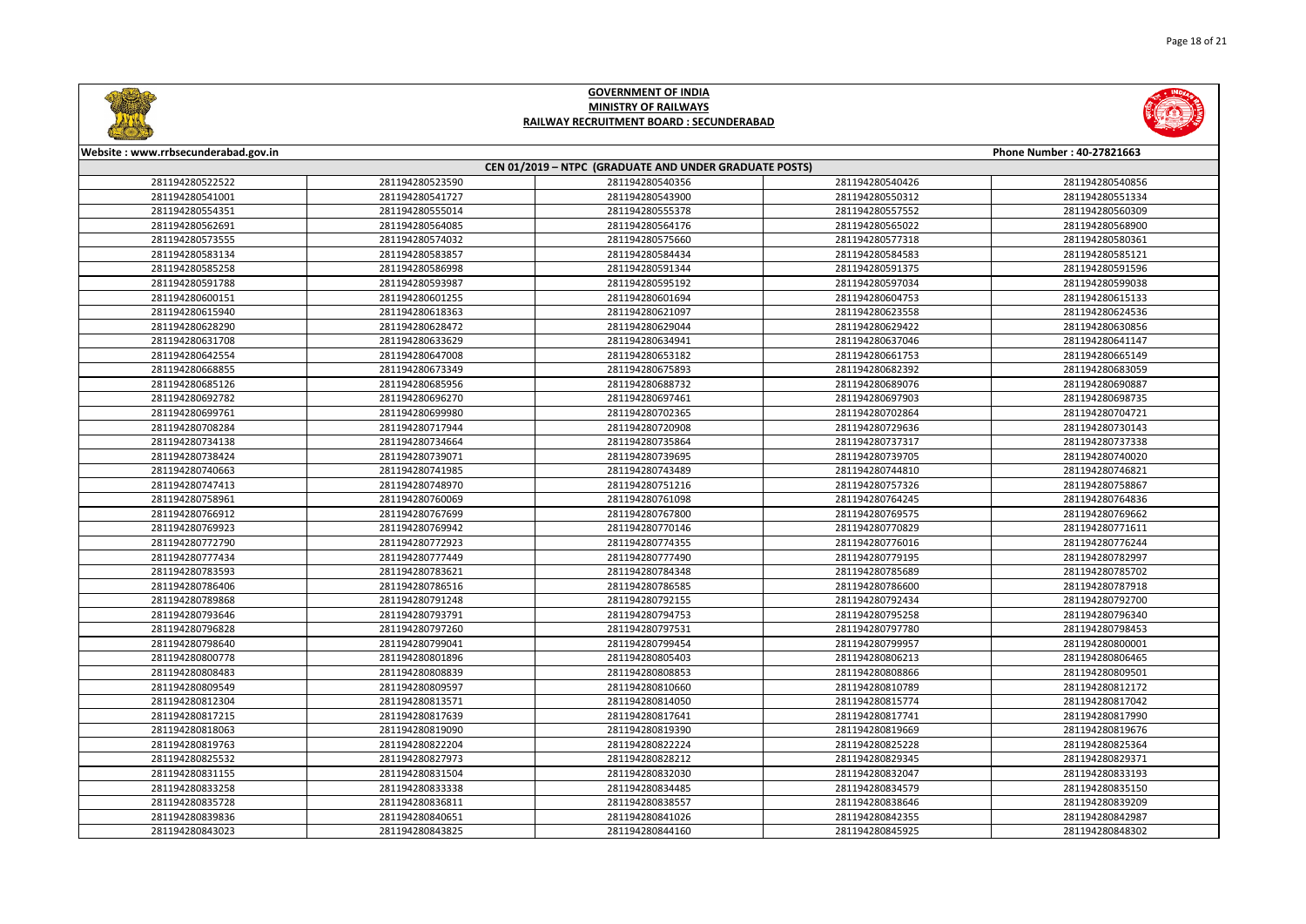



| Website: www.rrbsecunderabad.gov.in<br>Phone Number: 40-27821663<br>CEN 01/2019 - NTPC (GRADUATE AND UNDER GRADUATE POSTS) |                 |                 |                 |                 |
|----------------------------------------------------------------------------------------------------------------------------|-----------------|-----------------|-----------------|-----------------|
|                                                                                                                            |                 |                 |                 |                 |
| 281194280541001                                                                                                            | 281194280541727 | 281194280543900 | 281194280550312 | 281194280551334 |
| 281194280554351                                                                                                            | 281194280555014 | 281194280555378 | 281194280557552 | 281194280560309 |
| 281194280562691                                                                                                            | 281194280564085 | 281194280564176 | 281194280565022 | 281194280568900 |
| 281194280573555                                                                                                            | 281194280574032 | 281194280575660 | 281194280577318 | 281194280580361 |
| 281194280583134                                                                                                            | 281194280583857 | 281194280584434 | 281194280584583 | 281194280585121 |
| 281194280585258                                                                                                            | 281194280586998 | 281194280591344 | 281194280591375 | 281194280591596 |
| 281194280591788                                                                                                            | 281194280593987 | 281194280595192 | 281194280597034 | 281194280599038 |
| 281194280600151                                                                                                            | 281194280601255 | 281194280601694 | 281194280604753 | 281194280615133 |
| 281194280615940                                                                                                            | 281194280618363 | 281194280621097 | 281194280623558 | 281194280624536 |
| 281194280628290                                                                                                            | 281194280628472 | 281194280629044 | 281194280629422 | 281194280630856 |
| 281194280631708                                                                                                            | 281194280633629 | 281194280634941 | 281194280637046 | 281194280641147 |
| 281194280642554                                                                                                            | 281194280647008 | 281194280653182 | 281194280661753 | 281194280665149 |
| 281194280668855                                                                                                            | 281194280673349 | 281194280675893 | 281194280682392 | 281194280683059 |
| 281194280685126                                                                                                            | 281194280685956 | 281194280688732 | 281194280689076 | 281194280690887 |
| 281194280692782                                                                                                            | 281194280696270 | 281194280697461 | 281194280697903 | 281194280698735 |
| 281194280699761                                                                                                            | 281194280699980 | 281194280702365 | 281194280702864 | 281194280704721 |
| 281194280708284                                                                                                            | 281194280717944 | 281194280720908 | 281194280729636 | 281194280730143 |
| 281194280734138                                                                                                            | 281194280734664 | 281194280735864 | 281194280737317 | 281194280737338 |
| 281194280738424                                                                                                            | 281194280739071 | 281194280739695 | 281194280739705 | 281194280740020 |
| 281194280740663                                                                                                            | 281194280741985 | 281194280743489 | 281194280744810 | 281194280746821 |
| 281194280747413                                                                                                            | 281194280748970 | 281194280751216 | 281194280757326 | 281194280758867 |
| 281194280758961                                                                                                            | 281194280760069 | 281194280761098 | 281194280764245 | 281194280764836 |
| 281194280766912                                                                                                            | 281194280767699 | 281194280767800 | 281194280769575 | 281194280769662 |
| 281194280769923                                                                                                            | 281194280769942 | 281194280770146 | 281194280770829 | 281194280771611 |
| 281194280772790                                                                                                            | 281194280772923 | 281194280774355 | 281194280776016 | 281194280776244 |
| 281194280777434                                                                                                            | 281194280777449 | 281194280777490 | 281194280779195 | 281194280782997 |
| 281194280783593                                                                                                            | 281194280783621 | 281194280784348 | 281194280785689 | 281194280785702 |
| 281194280786406                                                                                                            | 281194280786516 | 281194280786585 | 281194280786600 | 281194280787918 |
| 281194280789868                                                                                                            | 281194280791248 | 281194280792155 | 281194280792434 | 281194280792700 |
| 281194280793646                                                                                                            | 281194280793791 | 281194280794753 | 281194280795258 | 281194280796340 |
| 281194280796828                                                                                                            | 281194280797260 | 281194280797531 | 281194280797780 | 281194280798453 |
| 281194280798640                                                                                                            | 281194280799041 | 281194280799454 | 281194280799957 | 281194280800001 |
| 281194280800778                                                                                                            | 281194280801896 | 281194280805403 | 281194280806213 | 281194280806465 |
| 281194280808483                                                                                                            | 281194280808839 | 281194280808853 | 281194280808866 | 281194280809501 |
| 281194280809549                                                                                                            | 281194280809597 | 281194280810660 | 281194280810789 | 281194280812172 |
| 281194280812304                                                                                                            | 281194280813571 | 281194280814050 | 281194280815774 | 281194280817042 |
| 281194280817215                                                                                                            | 281194280817639 | 281194280817641 | 281194280817741 | 281194280817990 |
| 281194280818063                                                                                                            | 281194280819090 | 281194280819390 | 281194280819669 | 281194280819676 |
| 281194280819763                                                                                                            | 281194280822204 | 281194280822224 | 281194280825228 | 281194280825364 |
| 281194280825532                                                                                                            | 281194280827973 | 281194280828212 | 281194280829345 | 281194280829371 |
| 281194280831155                                                                                                            | 281194280831504 | 281194280832030 | 281194280832047 | 281194280833193 |
| 281194280833258                                                                                                            | 281194280833338 | 281194280834485 | 281194280834579 | 281194280835150 |
| 281194280835728                                                                                                            | 281194280836811 | 281194280838557 | 281194280838646 | 281194280839209 |
| 281194280839836                                                                                                            | 281194280840651 | 281194280841026 | 281194280842355 | 281194280842987 |
| 281194280843023                                                                                                            | 281194280843825 | 281194280844160 | 281194280845925 | 281194280848302 |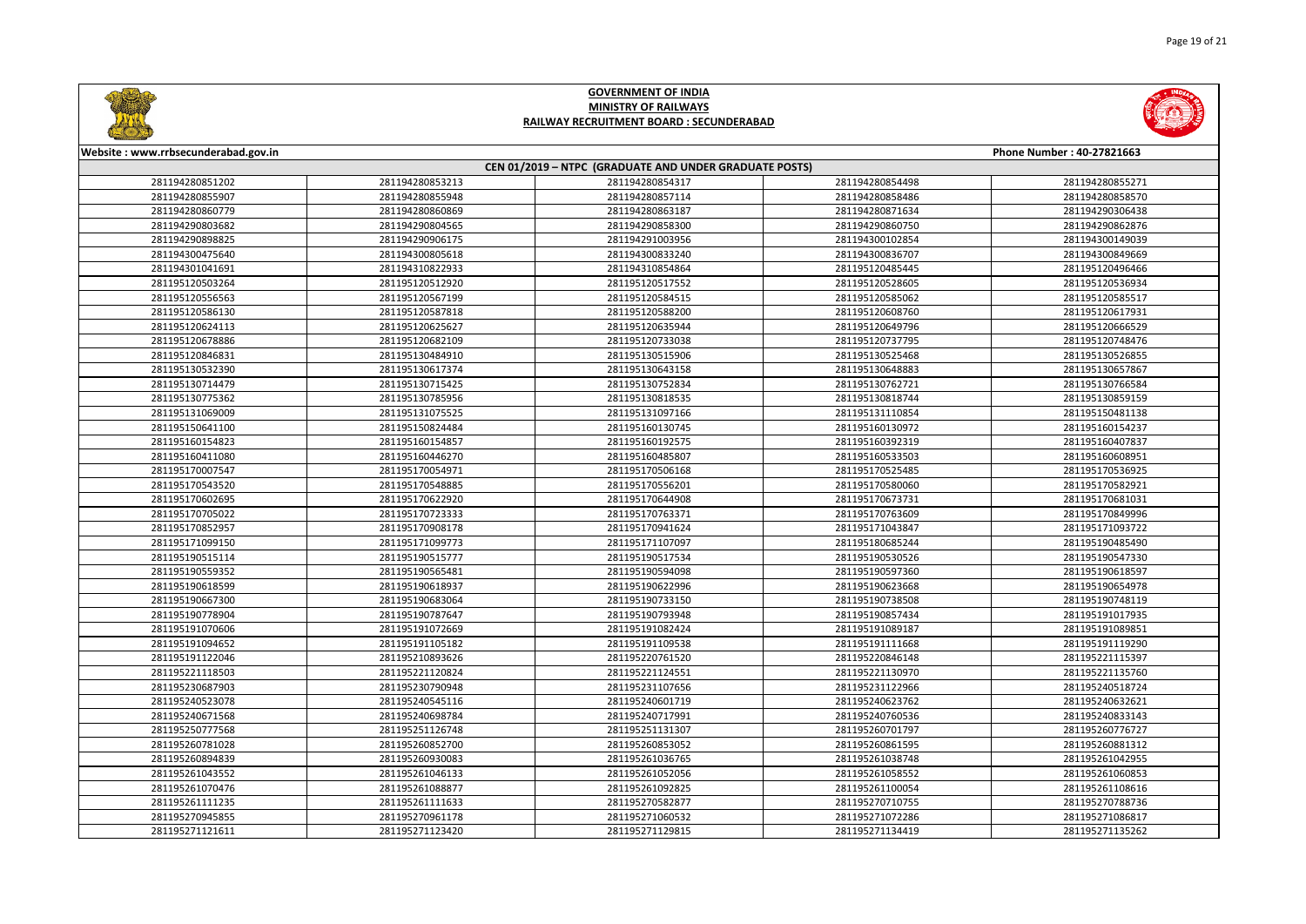



| <u>Citizens and the second second second second second second second second second second second second second second second second second second second second second second second second second second second second second s</u> |                 |                 |                 |                           |
|--------------------------------------------------------------------------------------------------------------------------------------------------------------------------------------------------------------------------------------|-----------------|-----------------|-----------------|---------------------------|
| Website: www.rrbsecunderabad.gov.in                                                                                                                                                                                                  |                 |                 |                 | Phone Number: 40-27821663 |
| CEN 01/2019 - NTPC (GRADUATE AND UNDER GRADUATE POSTS)                                                                                                                                                                               |                 |                 |                 |                           |
| 281194280851202                                                                                                                                                                                                                      | 281194280853213 | 281194280854317 | 281194280854498 | 281194280855271           |
| 281194280855907                                                                                                                                                                                                                      | 281194280855948 | 281194280857114 | 281194280858486 | 281194280858570           |
| 281194280860779                                                                                                                                                                                                                      | 281194280860869 | 281194280863187 | 281194280871634 | 281194290306438           |
| 281194290803682                                                                                                                                                                                                                      | 281194290804565 | 281194290858300 | 281194290860750 | 281194290862876           |
| 281194290898825                                                                                                                                                                                                                      | 281194290906175 | 281194291003956 | 281194300102854 | 281194300149039           |
| 281194300475640                                                                                                                                                                                                                      | 281194300805618 | 281194300833240 | 281194300836707 | 281194300849669           |
| 281194301041691                                                                                                                                                                                                                      | 281194310822933 | 281194310854864 | 281195120485445 | 281195120496466           |
| 281195120503264                                                                                                                                                                                                                      | 281195120512920 | 281195120517552 | 281195120528605 | 281195120536934           |
| 281195120556563                                                                                                                                                                                                                      | 281195120567199 | 281195120584515 | 281195120585062 | 281195120585517           |
| 281195120586130                                                                                                                                                                                                                      | 281195120587818 | 281195120588200 | 281195120608760 | 281195120617931           |
| 281195120624113                                                                                                                                                                                                                      | 281195120625627 | 281195120635944 | 281195120649796 | 281195120666529           |
| 281195120678886                                                                                                                                                                                                                      | 281195120682109 | 281195120733038 | 281195120737795 | 281195120748476           |
| 281195120846831                                                                                                                                                                                                                      | 281195130484910 | 281195130515906 | 281195130525468 | 281195130526855           |
| 281195130532390                                                                                                                                                                                                                      | 281195130617374 | 281195130643158 | 281195130648883 | 281195130657867           |
| 281195130714479                                                                                                                                                                                                                      | 281195130715425 | 281195130752834 | 281195130762721 | 281195130766584           |
| 281195130775362                                                                                                                                                                                                                      | 281195130785956 | 281195130818535 | 281195130818744 | 281195130859159           |
| 281195131069009                                                                                                                                                                                                                      | 281195131075525 | 281195131097166 | 281195131110854 | 281195150481138           |
| 281195150641100                                                                                                                                                                                                                      | 281195150824484 | 281195160130745 | 281195160130972 | 281195160154237           |
| 281195160154823                                                                                                                                                                                                                      | 281195160154857 | 281195160192575 | 281195160392319 | 281195160407837           |
| 281195160411080                                                                                                                                                                                                                      | 281195160446270 | 281195160485807 | 281195160533503 | 281195160608951           |
| 281195170007547                                                                                                                                                                                                                      | 281195170054971 | 281195170506168 | 281195170525485 | 281195170536925           |
| 281195170543520                                                                                                                                                                                                                      | 281195170548885 | 281195170556201 | 281195170580060 | 281195170582921           |
| 281195170602695                                                                                                                                                                                                                      | 281195170622920 | 281195170644908 | 281195170673731 | 281195170681031           |
| 281195170705022                                                                                                                                                                                                                      | 281195170723333 | 281195170763371 | 281195170763609 | 281195170849996           |
| 281195170852957                                                                                                                                                                                                                      | 281195170908178 | 281195170941624 | 281195171043847 | 281195171093722           |
| 281195171099150                                                                                                                                                                                                                      | 281195171099773 | 281195171107097 | 281195180685244 | 281195190485490           |
| 281195190515114                                                                                                                                                                                                                      | 281195190515777 | 281195190517534 | 281195190530526 | 281195190547330           |
| 281195190559352                                                                                                                                                                                                                      | 281195190565481 | 281195190594098 | 281195190597360 | 281195190618597           |
| 281195190618599                                                                                                                                                                                                                      | 281195190618937 | 281195190622996 | 281195190623668 | 281195190654978           |
| 281195190667300                                                                                                                                                                                                                      | 281195190683064 | 281195190733150 | 281195190738508 | 281195190748119           |
| 281195190778904                                                                                                                                                                                                                      | 281195190787647 | 281195190793948 | 281195190857434 | 281195191017935           |
| 281195191070606                                                                                                                                                                                                                      | 281195191072669 | 281195191082424 | 281195191089187 | 281195191089851           |
| 281195191094652                                                                                                                                                                                                                      | 281195191105182 | 281195191109538 | 281195191111668 | 281195191119290           |
| 281195191122046                                                                                                                                                                                                                      | 281195210893626 | 281195220761520 | 281195220846148 | 281195221115397           |
| 281195221118503                                                                                                                                                                                                                      | 281195221120824 | 281195221124551 | 281195221130970 | 281195221135760           |
| 281195230687903                                                                                                                                                                                                                      | 281195230790948 | 281195231107656 | 281195231122966 | 281195240518724           |
| 281195240523078                                                                                                                                                                                                                      | 281195240545116 | 281195240601719 | 281195240623762 | 281195240632621           |
| 281195240671568                                                                                                                                                                                                                      | 281195240698784 | 281195240717991 | 281195240760536 | 281195240833143           |
| 281195250777568                                                                                                                                                                                                                      | 281195251126748 | 281195251131307 | 281195260701797 | 281195260776727           |
| 281195260781028                                                                                                                                                                                                                      | 281195260852700 | 281195260853052 | 281195260861595 | 281195260881312           |
| 281195260894839                                                                                                                                                                                                                      | 281195260930083 | 281195261036765 | 281195261038748 | 281195261042955           |
| 281195261043552                                                                                                                                                                                                                      | 281195261046133 | 281195261052056 | 281195261058552 | 281195261060853           |
| 281195261070476                                                                                                                                                                                                                      | 281195261088877 | 281195261092825 | 281195261100054 | 281195261108616           |
| 281195261111235                                                                                                                                                                                                                      | 281195261111633 | 281195270582877 | 281195270710755 | 281195270788736           |
| 281195270945855                                                                                                                                                                                                                      | 281195270961178 | 281195271060532 | 281195271072286 | 281195271086817           |
| 281195271121611                                                                                                                                                                                                                      | 281195271123420 | 281195271129815 | 281195271134419 | 281195271135262           |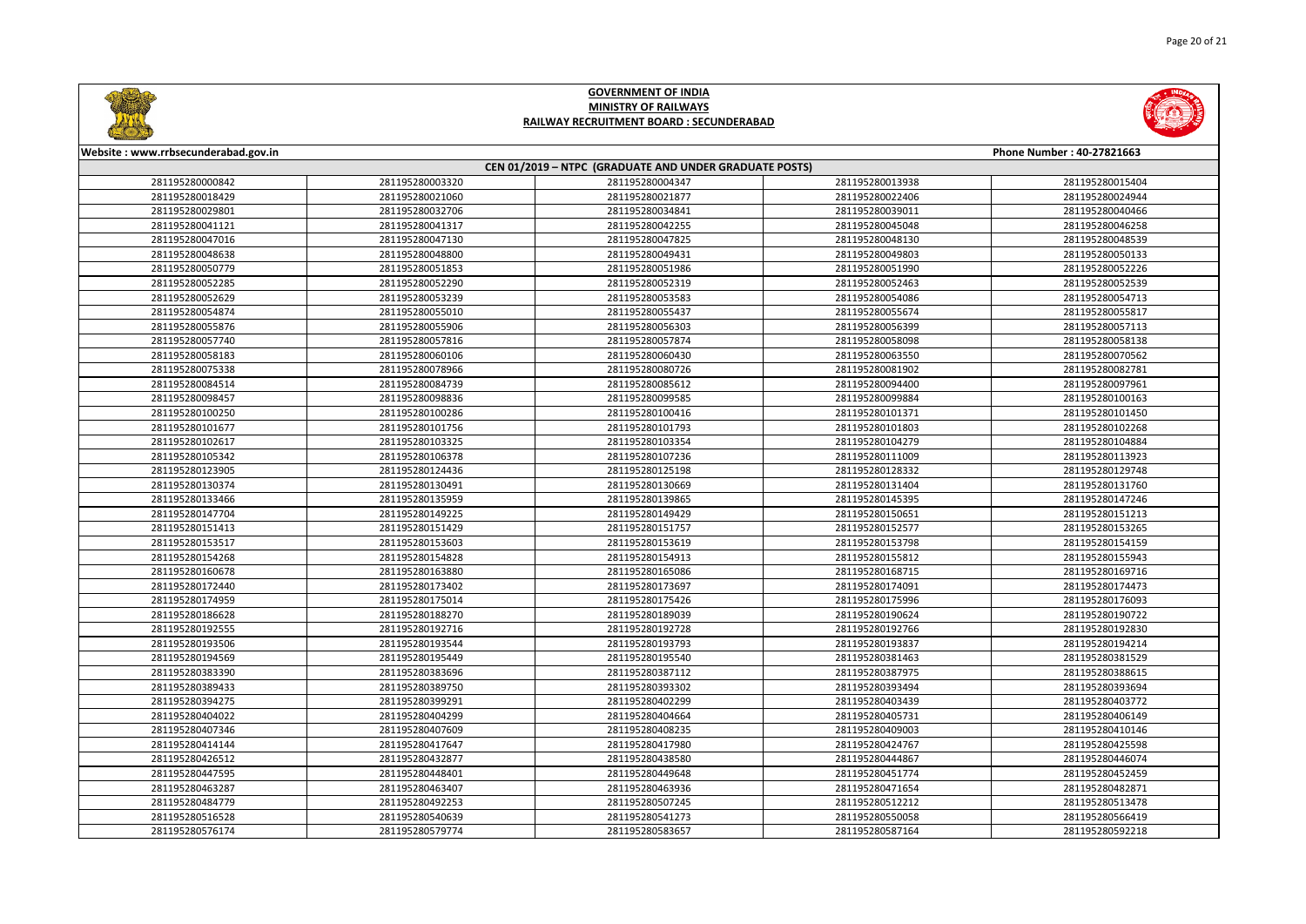



| Website: www.rrbsecunderabad.gov.in |                 |                                                        |                 | Phone Number: 40-27821663 |
|-------------------------------------|-----------------|--------------------------------------------------------|-----------------|---------------------------|
|                                     |                 | CEN 01/2019 - NTPC (GRADUATE AND UNDER GRADUATE POSTS) |                 |                           |
| 281195280000842                     | 281195280003320 | 281195280004347                                        | 281195280013938 | 281195280015404           |
| 281195280018429                     | 281195280021060 | 281195280021877                                        | 281195280022406 | 281195280024944           |
| 281195280029801                     | 281195280032706 | 281195280034841                                        | 281195280039011 | 281195280040466           |
| 281195280041121                     | 281195280041317 | 281195280042255                                        | 281195280045048 | 281195280046258           |
| 281195280047016                     | 281195280047130 | 281195280047825                                        | 281195280048130 | 281195280048539           |
| 281195280048638                     | 281195280048800 | 281195280049431                                        | 281195280049803 | 281195280050133           |
| 281195280050779                     | 281195280051853 | 281195280051986                                        | 281195280051990 | 281195280052226           |
| 281195280052285                     | 281195280052290 | 281195280052319                                        | 281195280052463 | 281195280052539           |
| 281195280052629                     | 281195280053239 | 281195280053583                                        | 281195280054086 | 281195280054713           |
| 281195280054874                     | 281195280055010 | 281195280055437                                        | 281195280055674 | 281195280055817           |
| 281195280055876                     | 281195280055906 | 281195280056303                                        | 281195280056399 | 281195280057113           |
| 281195280057740                     | 281195280057816 | 281195280057874                                        | 281195280058098 | 281195280058138           |
| 281195280058183                     | 281195280060106 | 281195280060430                                        | 281195280063550 | 281195280070562           |
| 281195280075338                     | 281195280078966 | 281195280080726                                        | 281195280081902 | 281195280082781           |
| 281195280084514                     | 281195280084739 | 281195280085612                                        | 281195280094400 | 281195280097961           |
| 281195280098457                     | 281195280098836 | 281195280099585                                        | 281195280099884 | 281195280100163           |
| 281195280100250                     | 281195280100286 | 281195280100416                                        | 281195280101371 | 281195280101450           |
| 281195280101677                     | 281195280101756 | 281195280101793                                        | 281195280101803 | 281195280102268           |
| 281195280102617                     | 281195280103325 | 281195280103354                                        | 281195280104279 | 281195280104884           |
| 281195280105342                     | 281195280106378 | 281195280107236                                        | 281195280111009 | 281195280113923           |
| 281195280123905                     | 281195280124436 | 281195280125198                                        | 281195280128332 | 281195280129748           |
| 281195280130374                     | 281195280130491 | 281195280130669                                        | 281195280131404 | 281195280131760           |
| 281195280133466                     | 281195280135959 | 281195280139865                                        | 281195280145395 | 281195280147246           |
| 281195280147704                     | 281195280149225 | 281195280149429                                        | 281195280150651 | 281195280151213           |
| 281195280151413                     | 281195280151429 | 281195280151757                                        | 281195280152577 | 281195280153265           |
| 281195280153517                     | 281195280153603 | 281195280153619                                        | 281195280153798 | 281195280154159           |
| 281195280154268                     | 281195280154828 | 281195280154913                                        | 281195280155812 | 281195280155943           |
| 281195280160678                     | 281195280163880 | 281195280165086                                        | 281195280168715 | 281195280169716           |
| 281195280172440                     | 281195280173402 | 281195280173697                                        | 281195280174091 | 281195280174473           |
| 281195280174959                     | 281195280175014 | 281195280175426                                        | 281195280175996 | 281195280176093           |
| 281195280186628                     | 281195280188270 | 281195280189039                                        | 281195280190624 | 281195280190722           |
| 281195280192555                     | 281195280192716 | 281195280192728                                        | 281195280192766 | 281195280192830           |
| 281195280193506                     | 281195280193544 | 281195280193793                                        | 281195280193837 | 281195280194214           |
| 281195280194569                     | 281195280195449 | 281195280195540                                        | 281195280381463 | 281195280381529           |
| 281195280383390                     | 281195280383696 | 281195280387112                                        | 281195280387975 | 281195280388615           |
| 281195280389433                     | 281195280389750 | 281195280393302                                        | 281195280393494 | 281195280393694           |
| 281195280394275                     | 281195280399291 | 281195280402299                                        | 281195280403439 | 281195280403772           |
| 281195280404022                     | 281195280404299 | 281195280404664                                        | 281195280405731 | 281195280406149           |
| 281195280407346                     | 281195280407609 | 281195280408235                                        | 281195280409003 | 281195280410146           |
| 281195280414144                     | 281195280417647 | 281195280417980                                        | 281195280424767 | 281195280425598           |
| 281195280426512                     | 281195280432877 | 281195280438580                                        | 281195280444867 | 281195280446074           |
| 281195280447595                     | 281195280448401 | 281195280449648                                        | 281195280451774 | 281195280452459           |
| 281195280463287                     | 281195280463407 | 281195280463936                                        | 281195280471654 | 281195280482871           |
| 281195280484779                     | 281195280492253 | 281195280507245                                        | 281195280512212 | 281195280513478           |
| 281195280516528                     | 281195280540639 | 281195280541273                                        | 281195280550058 | 281195280566419           |
| 281195280576174                     | 281195280579774 | 281195280583657                                        | 281195280587164 | 281195280592218           |